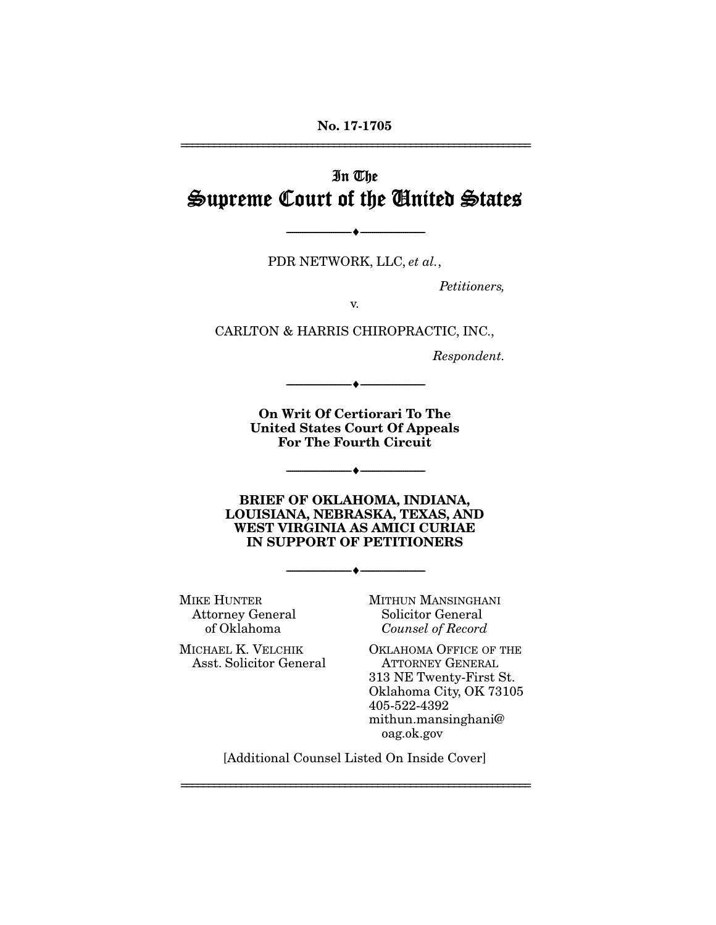No. 17-1705

# In The Supreme Court of the United States

PDR NETWORK, LLC, *et al.*,

--------------------------------- ---------------------------------

*Petitioners,* 

================================================================

v.

CARLTON & HARRIS CHIROPRACTIC, INC.,

*Respondent.* 

On Writ Of Certiorari To The United States Court Of Appeals For The Fourth Circuit

--------------------------------- ---------------------------------

--------------------------------- ---------------------------------

BRIEF OF OKLAHOMA, INDIANA, LOUISIANA, NEBRASKA, TEXAS, AND WEST VIRGINIA AS AMICI CURIAE IN SUPPORT OF PETITIONERS

--------------------------------- ---------------------------------

MIKE HUNTER Attorney General of Oklahoma

MICHAEL K. VELCHIK Asst. Solicitor General MITHUN MANSINGHANI Solicitor General *Counsel of Record*

OKLAHOMA OFFICE OF THE ATTORNEY GENERAL 313 NE Twenty-First St. Oklahoma City, OK 73105 405-522-4392 mithun.mansinghani@ oag.ok.gov

[Additional Counsel Listed On Inside Cover]

================================================================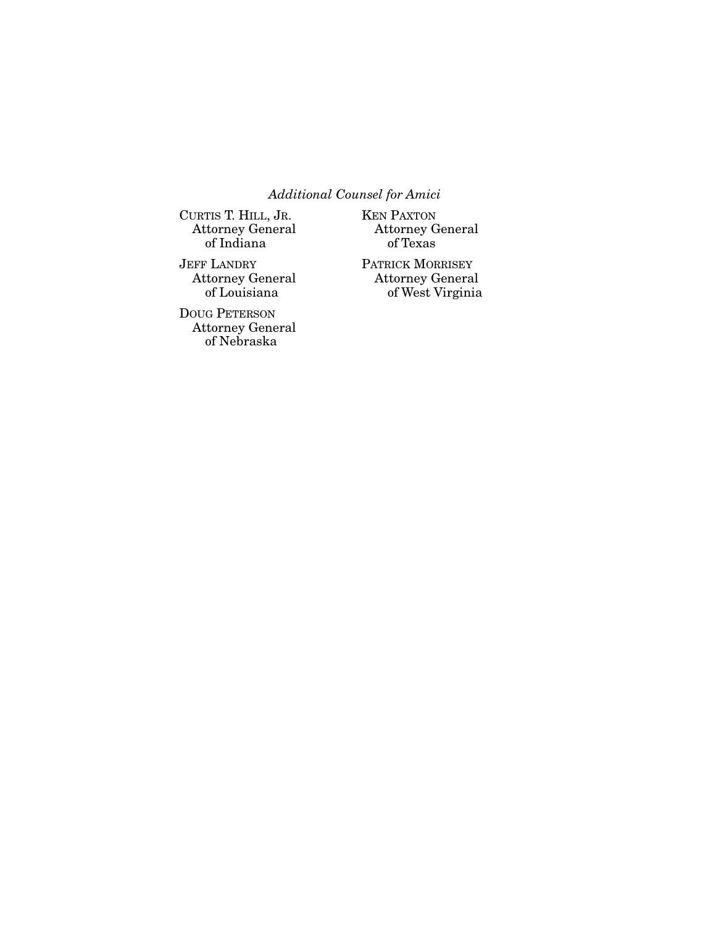*Additional Counsel for Amici*

CURTIS T. HILL, JR. Attorney General of Indiana

KEN PAXTON Attorney General of Texas

JEFF LANDRY Attorney General of Louisiana

DOUG PETERSON Attorney General of Nebraska

PATRICK MORRISEY Attorney General of West Virginia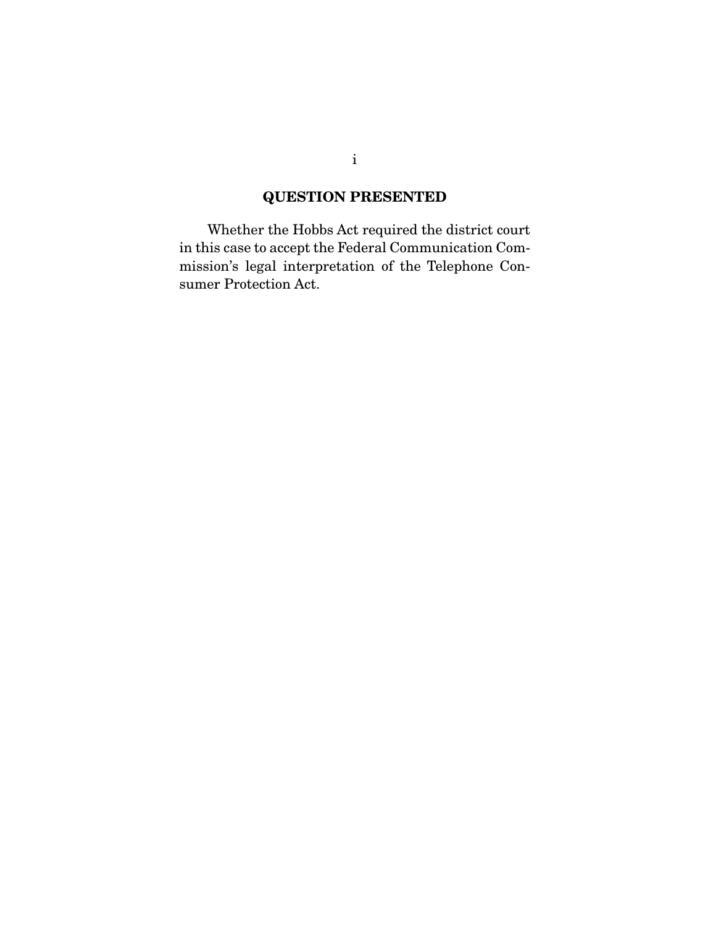## QUESTION PRESENTED

 Whether the Hobbs Act required the district court in this case to accept the Federal Communication Commission's legal interpretation of the Telephone Consumer Protection Act.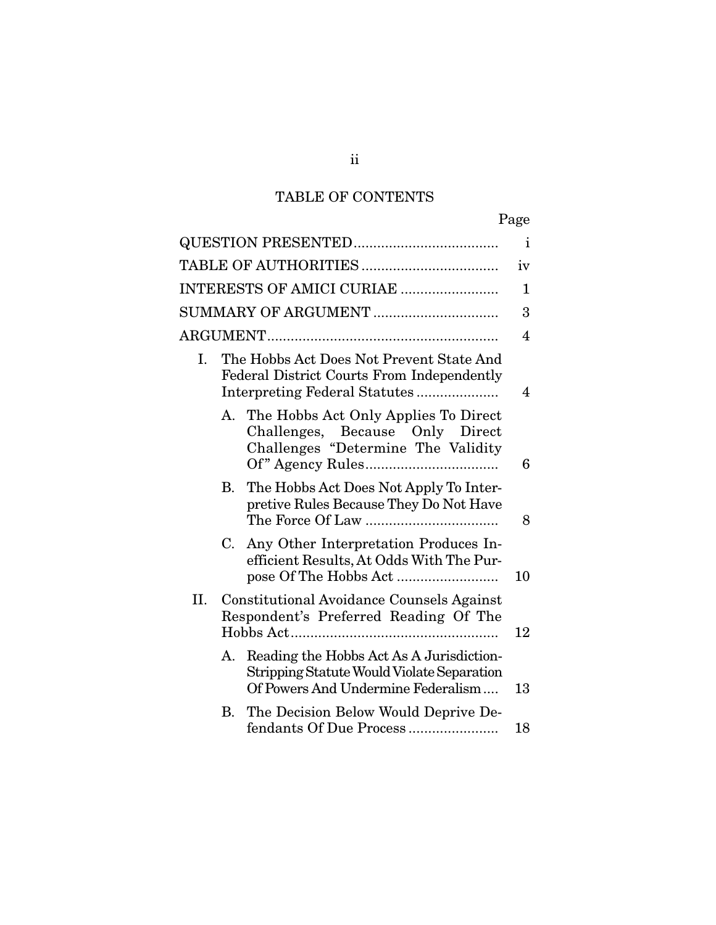# TABLE OF CONTENTS

|     |    |                                                                                                                              | Page                    |
|-----|----|------------------------------------------------------------------------------------------------------------------------------|-------------------------|
|     |    |                                                                                                                              | i                       |
|     |    |                                                                                                                              | iv                      |
|     |    | INTERESTS OF AMICI CURIAE                                                                                                    | 1                       |
|     |    | SUMMARY OF ARGUMENT                                                                                                          | 3                       |
|     |    |                                                                                                                              | $\overline{\mathbf{4}}$ |
| I.  |    | The Hobbs Act Does Not Prevent State And<br><b>Federal District Courts From Independently</b>                                | $\overline{4}$          |
|     | А. | The Hobbs Act Only Applies To Direct<br>Challenges, Because Only Direct<br>Challenges "Determine The Validity                | 6                       |
|     | В. | The Hobbs Act Does Not Apply To Inter-<br>pretive Rules Because They Do Not Have                                             | 8                       |
|     | C. | Any Other Interpretation Produces In-<br>efficient Results, At Odds With The Pur-                                            | 10                      |
| II. |    | <b>Constitutional Avoidance Counsels Against</b><br>Respondent's Preferred Reading Of The                                    | 12                      |
|     | А. | Reading the Hobbs Act As A Jurisdiction-<br>Stripping Statute Would Violate Separation<br>Of Powers And Undermine Federalism | 13                      |
|     | В. | The Decision Below Would Deprive De-                                                                                         | 18                      |

ii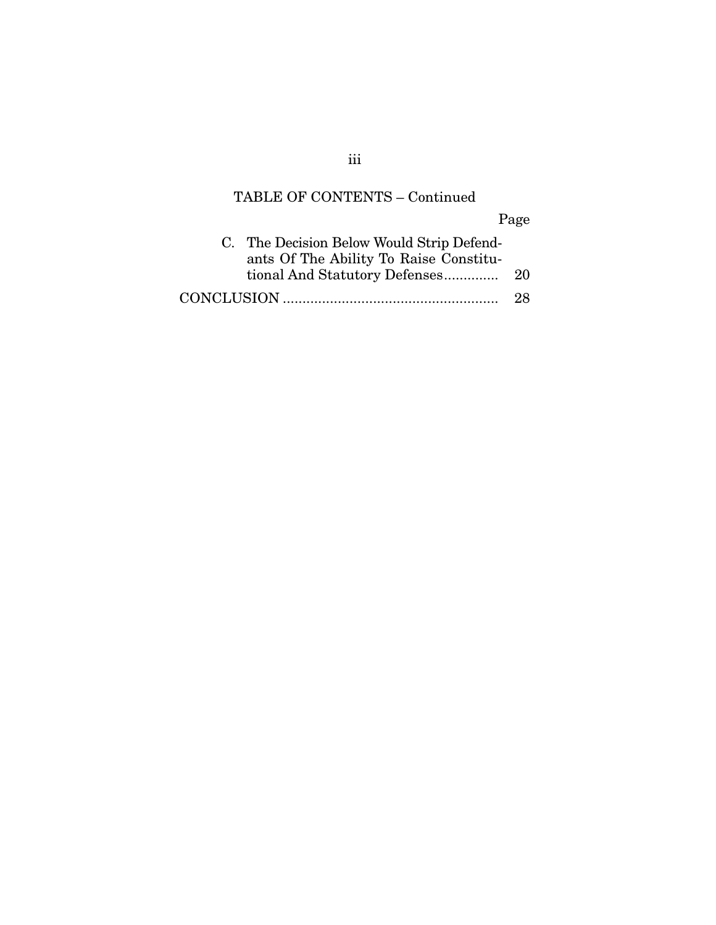# TABLE OF CONTENTS – Continued

Page

| C. The Decision Below Would Strip Defend-<br>ants Of The Ability To Raise Constitu- |      |
|-------------------------------------------------------------------------------------|------|
| tional And Statutory Defenses                                                       | - 20 |
|                                                                                     | 28   |

iii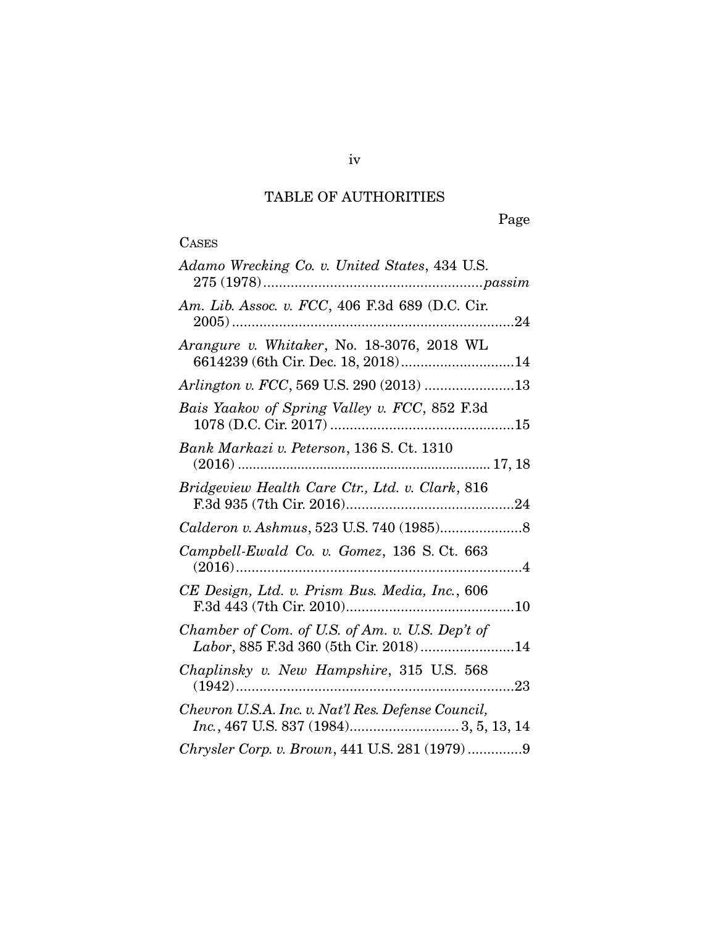## TABLE OF AUTHORITIES

Page

# **CASES**

| Adamo Wrecking Co. v. United States, 434 U.S.                                            |
|------------------------------------------------------------------------------------------|
| Am. Lib. Assoc. v. FCC, 406 F.3d 689 (D.C. Cir.                                          |
| Arangure v. Whitaker, No. 18-3076, 2018 WL<br>6614239 (6th Cir. Dec. 18, 2018)14         |
| Arlington v. FCC, 569 U.S. 290 (2013) 13                                                 |
| Bais Yaakov of Spring Valley v. FCC, 852 F.3d                                            |
| Bank Markazi v. Peterson, 136 S. Ct. 1310                                                |
| Bridgeview Health Care Ctr., Ltd. v. Clark, 816                                          |
|                                                                                          |
| Campbell-Ewald Co. v. Gomez, 136 S. Ct. 663                                              |
| CE Design, Ltd. v. Prism Bus. Media, Inc., 606                                           |
| Chamber of Com. of U.S. of Am. v. U.S. Dep't of<br>Labor, 885 F.3d 360 (5th Cir. 2018)14 |
| Chaplinsky v. New Hampshire, 315 U.S. 568                                                |
| Chevron U.S.A. Inc. v. Nat'l Res. Defense Council,                                       |
| Chrysler Corp. v. Brown, 441 U.S. 281 (1979)9                                            |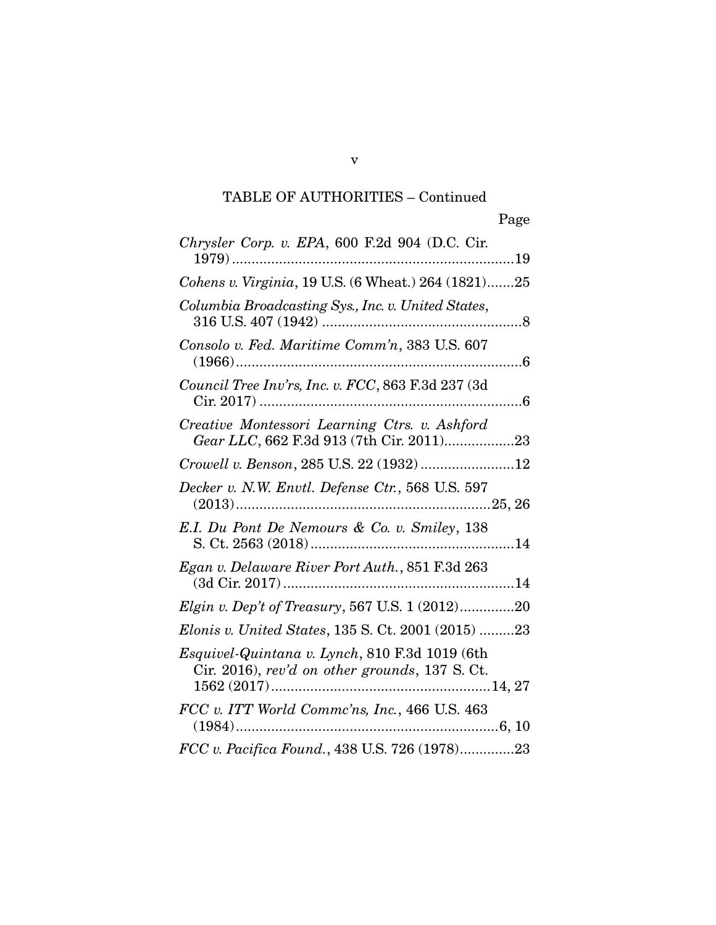| Chrysler Corp. v. EPA, 600 F.2d 904 (D.C. Cir.                                                  |
|-------------------------------------------------------------------------------------------------|
| Cohens v. Virginia, 19 U.S. (6 Wheat.) 264 (1821)25                                             |
| Columbia Broadcasting Sys., Inc. v. United States,                                              |
| Consolo v. Fed. Maritime Comm'n, 383 U.S. 607                                                   |
| Council Tree Inv'rs, Inc. v. FCC, 863 F.3d 237 (3d                                              |
| Creative Montessori Learning Ctrs. v. Ashford<br>Gear LLC, 662 F.3d 913 (7th Cir. 2011)23       |
| Crowell v. Benson, 285 U.S. 22 (1932) 12                                                        |
| Decker v. N.W. Envtl. Defense Ctr., 568 U.S. 597                                                |
| E.I. Du Pont De Nemours & Co. v. Smiley, 138                                                    |
| Egan v. Delaware River Port Auth., 851 F.3d 263                                                 |
| <i>Elgin v. Dep't of Treasury</i> , 567 U.S. 1 (2012)20                                         |
| Elonis v. United States, 135 S. Ct. 2001 (2015) 23                                              |
| Esquivel-Quintana v. Lynch, 810 F.3d 1019 (6th<br>Cir. 2016), rev'd on other grounds, 137 S.Ct. |
| FCC v. ITT World Commc'ns, Inc., 466 U.S. 463                                                   |
| FCC v. Pacifica Found., 438 U.S. 726 (1978)23                                                   |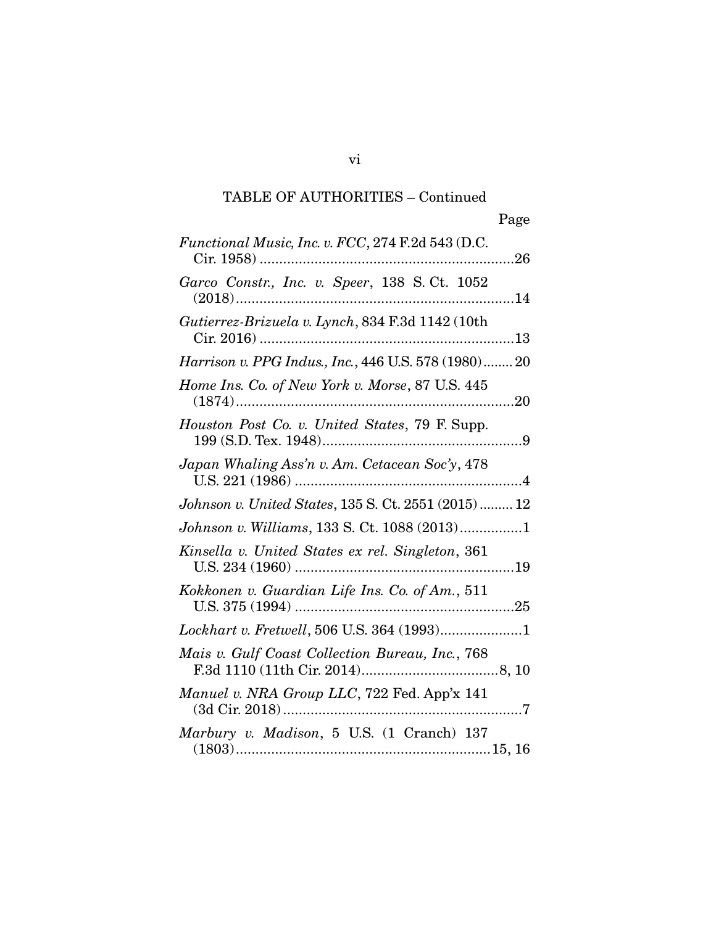vi

| Functional Music, Inc. v. FCC, 274 F.2d 543 (D.C.    |
|------------------------------------------------------|
| Garco Constr., Inc. v. Speer, 138 S.Ct. 1052         |
| Gutierrez-Brizuela v. Lynch, 834 F.3d 1142 (10th     |
| Harrison v. PPG Indus., Inc., 446 U.S. 578 (1980) 20 |
| Home Ins. Co. of New York v. Morse, 87 U.S. 445      |
| Houston Post Co. v. United States, 79 F. Supp.       |
| Japan Whaling Ass'n v. Am. Cetacean Soc'y, 478       |
| Johnson v. United States, 135 S. Ct. 2551 (2015) 12  |
| Johnson v. Williams, 133 S. Ct. 1088 (2013)1         |
| Kinsella v. United States ex rel. Singleton, 361     |
| Kokkonen v. Guardian Life Ins. Co. of Am., 511       |
| Lockhart v. Fretwell, 506 U.S. 364 (1993)1           |
| Mais v. Gulf Coast Collection Bureau, Inc., 768      |
| Manuel v. NRA Group LLC, 722 Fed. App'x 141          |
| Marbury v. Madison, 5 U.S. (1 Cranch) 137            |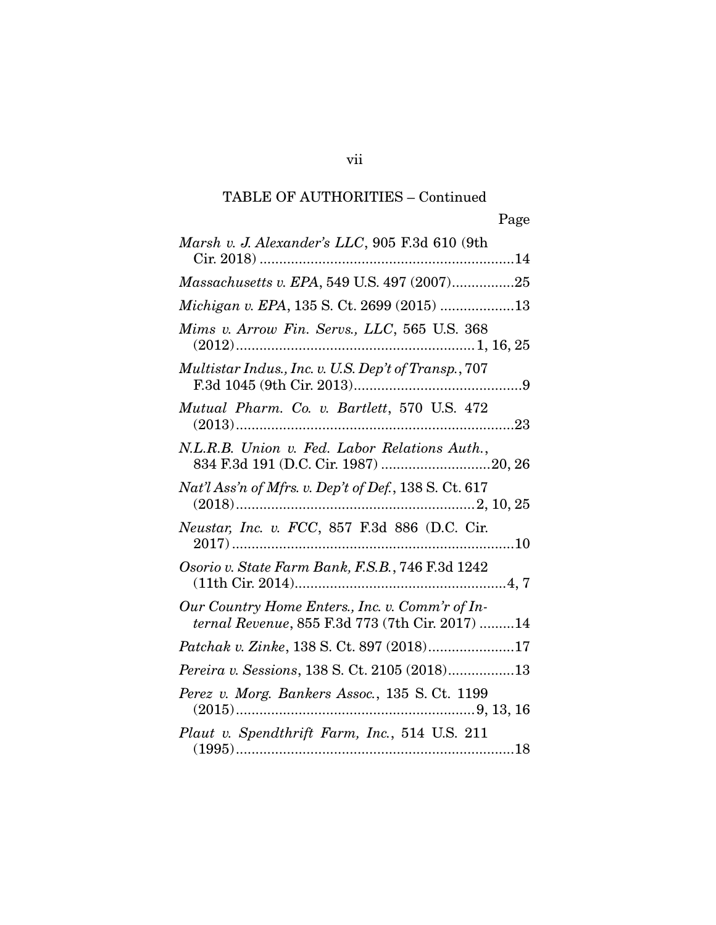vii

| Marsh v. J. Alexander's LLC, 905 F.3d 610 (9th                                                                                                                      |
|---------------------------------------------------------------------------------------------------------------------------------------------------------------------|
| Massachusetts v. EPA, 549 U.S. 497 (2007)25                                                                                                                         |
| Michigan v. EPA, 135 S. Ct. 2699 (2015) 13                                                                                                                          |
| Mims v. Arrow Fin. Servs., LLC, 565 U.S. 368                                                                                                                        |
| Multistar Indus., Inc. v. U.S. Dep't of Transp., 707                                                                                                                |
| Mutual Pharm. Co. v. Bartlett, 570 U.S. 472                                                                                                                         |
| N.L.R.B. Union v. Fed. Labor Relations Auth.,<br>834 F.3d 191 (D.C. Cir. 1987) 20, 26                                                                               |
| $\begin{array}{l} Nat'l \, Ass'n \,\, of \, Mfrs. \,\, v. \,\, Dep't \,\, of \, Def., \, 138 \,\, S. \,\, Ct. \,\, 617 \\ (2018) \dots 2, \, 10, \, 25 \end{array}$ |
| Neustar, Inc. v. FCC, 857 F.3d 886 (D.C. Cir.                                                                                                                       |
| Osorio v. State Farm Bank, F.S.B., 746 F.3d 1242                                                                                                                    |
| Our Country Home Enters., Inc. v. Comm'r of In-<br>ternal Revenue, 855 F.3d 773 (7th Cir. 2017) 14                                                                  |
| Patchak v. Zinke, 138 S. Ct. 897 (2018)17                                                                                                                           |
| Pereira v. Sessions, 138 S. Ct. 2105 (2018)13                                                                                                                       |
| Perez v. Morg. Bankers Assoc., 135 S. Ct. 1199                                                                                                                      |
| Plaut v. Spendthrift Farm, Inc., 514 U.S. 211                                                                                                                       |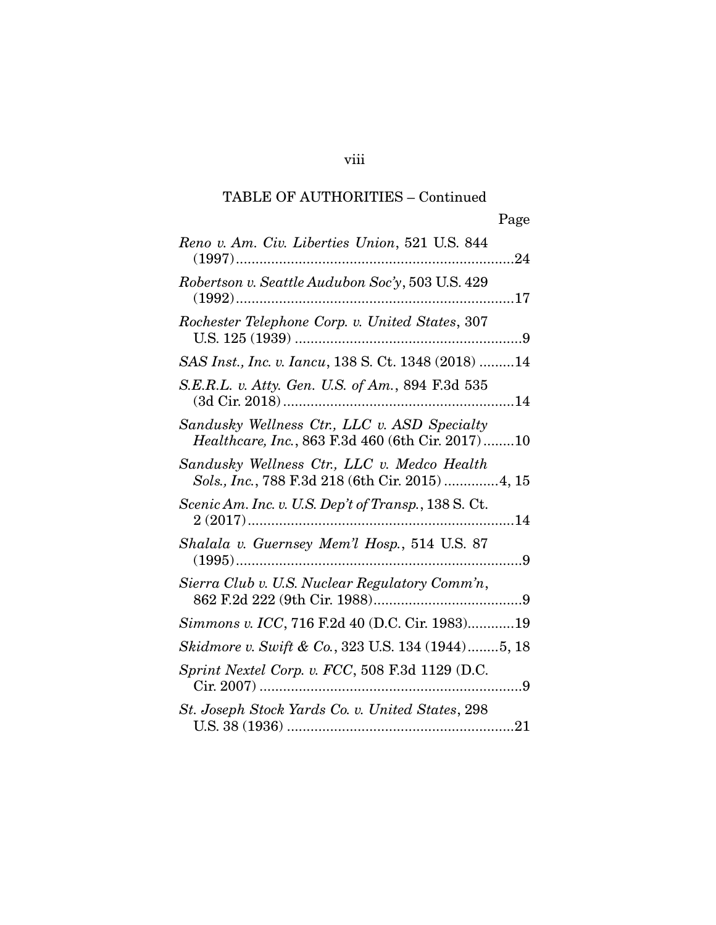viii

| Reno v. Am. Civ. Liberties Union, 521 U.S. 844                                                   |
|--------------------------------------------------------------------------------------------------|
| Robertson v. Seattle Audubon Soc'y, 503 U.S. 429                                                 |
| Rochester Telephone Corp. v. United States, 307                                                  |
| SAS Inst., Inc. v. Iancu, 138 S. Ct. 1348 (2018)  14                                             |
| S.E.R.L. v. Atty. Gen. U.S. of Am., 894 F.3d 535                                                 |
| Sandusky Wellness Ctr., LLC v. ASD Specialty<br>Healthcare, Inc., 863 F.3d 460 (6th Cir. 2017)10 |
| Sandusky Wellness Ctr., LLC v. Medco Health<br>Sols., Inc., 788 F.3d 218 (6th Cir. 2015)  4, 15  |
| Scenic Am. Inc. v. U.S. Dep't of Transp., 138 S. Ct.<br>14                                       |
| Shalala v. Guernsey Mem'l Hosp., 514 U.S. 87<br>. 9                                              |
| Sierra Club v. U.S. Nuclear Regulatory Comm'n,                                                   |
| Simmons v. ICC, 716 F.2d 40 (D.C. Cir. 1983)19                                                   |
| Skidmore v. Swift & Co., 323 U.S. 134 (1944)5, 18                                                |
| Sprint Nextel Corp. v. FCC, 508 F.3d 1129 (D.C.                                                  |
| St. Joseph Stock Yards Co. v. United States, 298                                                 |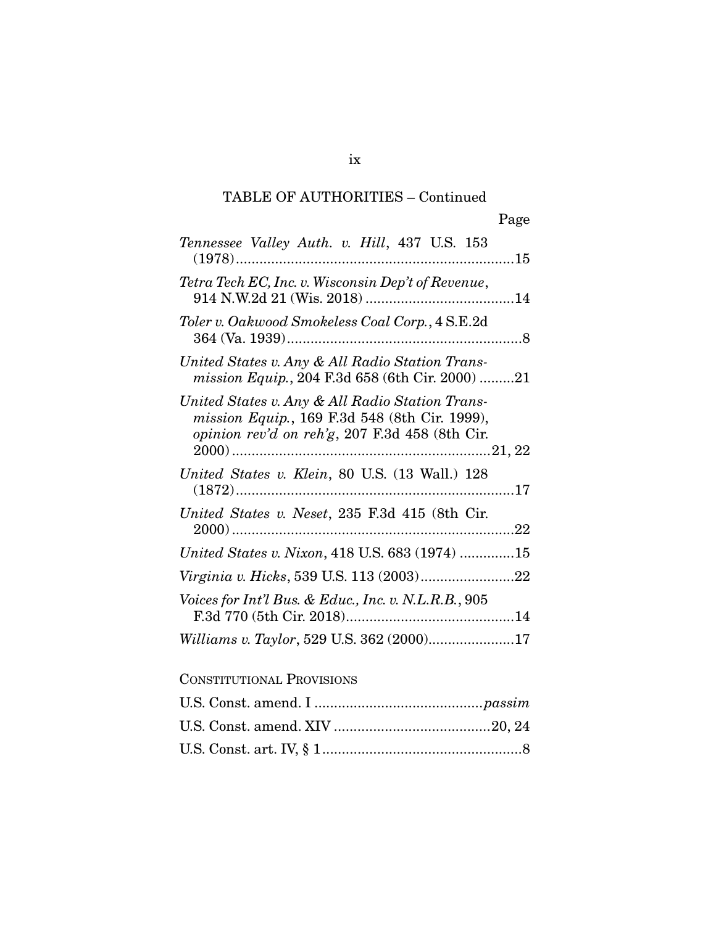| Tennessee Valley Auth. v. Hill, 437 U.S. 153                                                                                                       |
|----------------------------------------------------------------------------------------------------------------------------------------------------|
| Tetra Tech EC, Inc. v. Wisconsin Dep't of Revenue,                                                                                                 |
| Toler v. Oakwood Smokeless Coal Corp., 4 S.E.2d                                                                                                    |
| United States v. Any & All Radio Station Trans-<br>mission Equip., 204 F.3d 658 (6th Cir. 2000) 21                                                 |
| United States v. Any & All Radio Station Trans-<br>mission Equip., 169 F.3d 548 (8th Cir. 1999),<br>opinion rev'd on reh'g, 207 F.3d 458 (8th Cir. |
| United States v. Klein, 80 U.S. (13 Wall.) 128                                                                                                     |
| United States v. Neset, 235 F.3d 415 (8th Cir.                                                                                                     |
| United States v. Nixon, 418 U.S. 683 (1974) 15                                                                                                     |
| Virginia v. Hicks, 539 U.S. 113 (2003)22                                                                                                           |
| Voices for Int'l Bus. & Educ., Inc. v. N.L.R.B., 905                                                                                               |
| Williams v. Taylor, 529 U.S. 362 (2000)17                                                                                                          |
| <b>CONSTITUTIONAL PROVISIONS</b>                                                                                                                   |
|                                                                                                                                                    |

U.S. Const. amend. XIV ........................................ 20, 24 U.S. Const. art. IV, § 1 ................................................... 8

ix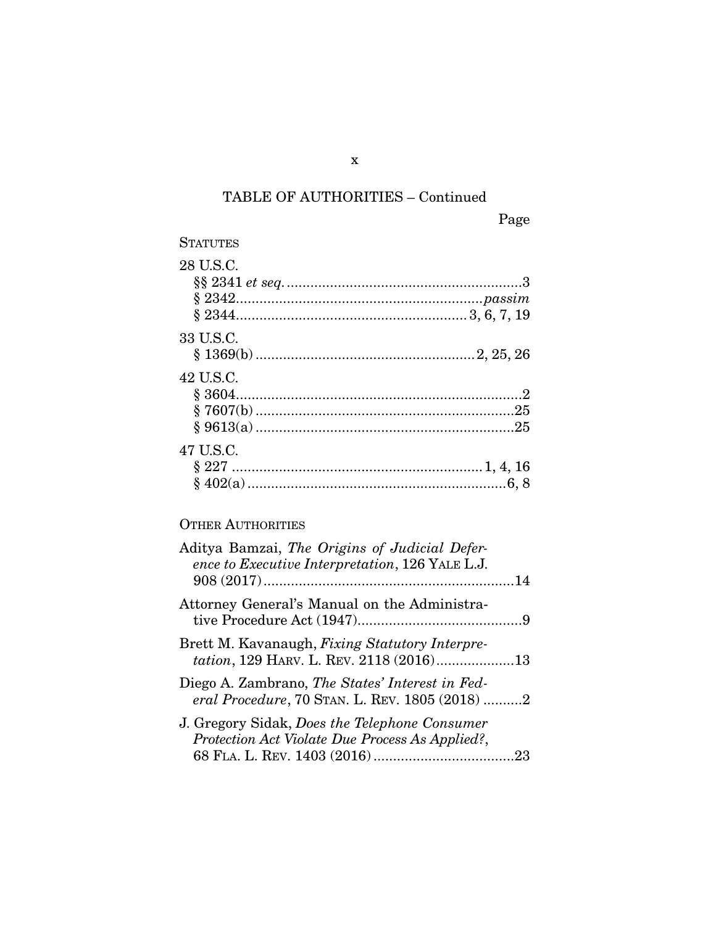## **STATUTES**

| 28 U.S.C. |  |
|-----------|--|
|           |  |
|           |  |
|           |  |
| 33 U.S.C. |  |
|           |  |
| 42 U.S.C. |  |
|           |  |
|           |  |
|           |  |
| 47 U.S.C. |  |
|           |  |
|           |  |

## OTHER AUTHORITIES

| Aditya Bamzai, The Origins of Judicial Defer-<br>ence to Executive Interpretation, 126 YALE L.J.  |  |
|---------------------------------------------------------------------------------------------------|--|
| Attorney General's Manual on the Administra-                                                      |  |
| Brett M. Kavanaugh, <i>Fixing Statutory Interpre-</i><br>tation, 129 HARV. L. REV. 2118 (2016)13  |  |
| Diego A. Zambrano, The States' Interest in Fed-<br>eral Procedure, 70 STAN. L. REV. 1805 (2018) 2 |  |
| J. Gregory Sidak, Does the Telephone Consumer<br>Protection Act Violate Due Process As Applied?,  |  |

x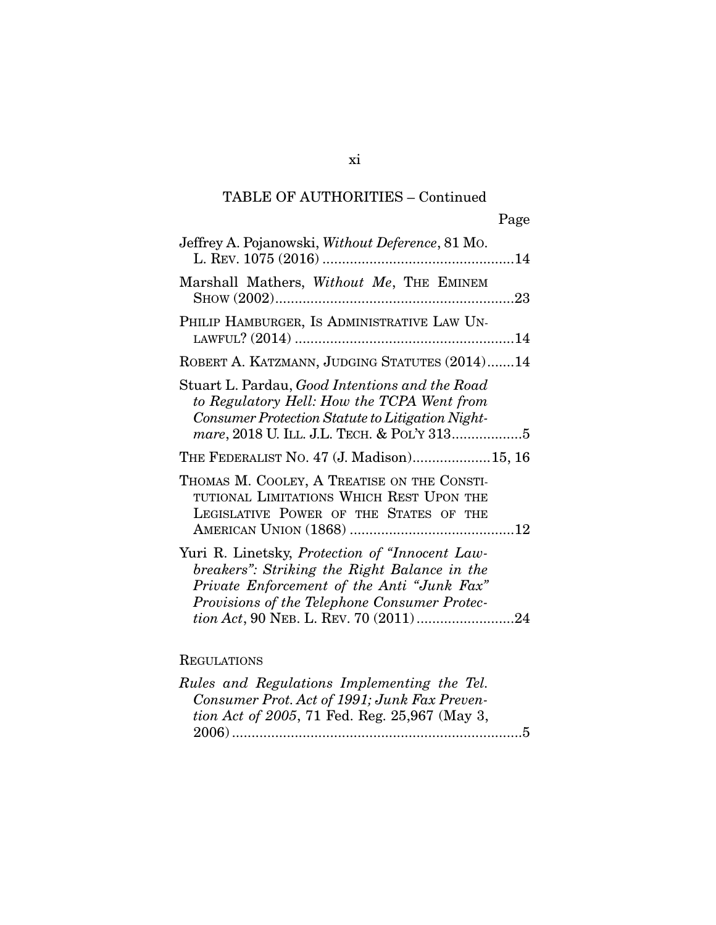| Jeffrey A. Pojanowski, Without Deference, 81 Mo.                                                                                                                                                                                             |
|----------------------------------------------------------------------------------------------------------------------------------------------------------------------------------------------------------------------------------------------|
| Marshall Mathers, Without Me, THE EMINEM                                                                                                                                                                                                     |
| PHILIP HAMBURGER, IS ADMINISTRATIVE LAW UN-                                                                                                                                                                                                  |
| ROBERT A. KATZMANN, JUDGING STATUTES (2014)14                                                                                                                                                                                                |
| Stuart L. Pardau, <i>Good Intentions and the Road</i><br>to Regulatory Hell: How the TCPA Went from<br>Consumer Protection Statute to Litigation Night-                                                                                      |
| THE FEDERALIST NO. 47 (J. Madison)15, 16                                                                                                                                                                                                     |
| THOMAS M. COOLEY, A TREATISE ON THE CONSTI-<br>TUTIONAL LIMITATIONS WHICH REST UPON THE<br>LEGISLATIVE POWER OF THE STATES OF THE                                                                                                            |
| Yuri R. Linetsky, <i>Protection of "Innocent Law-</i><br>breakers": Striking the Right Balance in the<br>Private Enforcement of the Anti "Junk Fax"<br>Provisions of the Telephone Consumer Protec-<br>tion Act, 90 NEB. L. REV. 70 (2011)24 |

## REGULATIONS

| Rules and Regulations Implementing the Tel.   |  |
|-----------------------------------------------|--|
| Consumer Prot. Act of 1991; Junk Fax Preven-  |  |
| tion Act of 2005, 71 Fed. Reg. 25,967 (May 3, |  |
|                                               |  |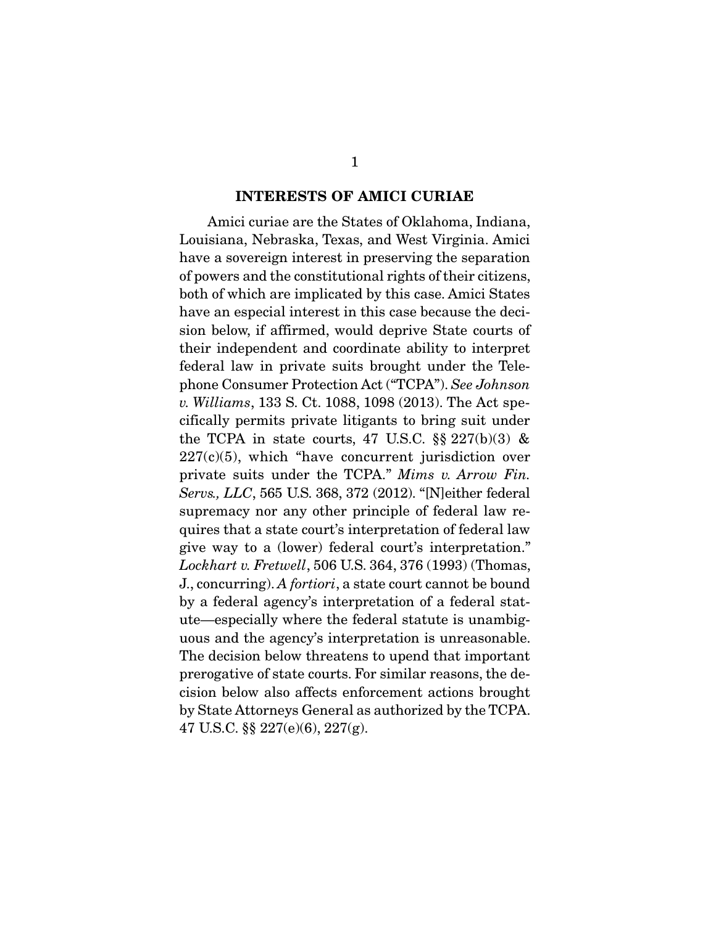#### INTERESTS OF AMICI CURIAE

 Amici curiae are the States of Oklahoma, Indiana, Louisiana, Nebraska, Texas, and West Virginia. Amici have a sovereign interest in preserving the separation of powers and the constitutional rights of their citizens, both of which are implicated by this case. Amici States have an especial interest in this case because the decision below, if affirmed, would deprive State courts of their independent and coordinate ability to interpret federal law in private suits brought under the Telephone Consumer Protection Act ("TCPA"). *See Johnson v. Williams*, 133 S. Ct. 1088, 1098 (2013). The Act specifically permits private litigants to bring suit under the TCPA in state courts, 47 U.S.C.  $\S\S 227(b)(3)$  &  $227(c)(5)$ , which "have concurrent jurisdiction over private suits under the TCPA." *Mims v. Arrow Fin. Servs., LLC*, 565 U.S. 368, 372 (2012). "[N]either federal supremacy nor any other principle of federal law requires that a state court's interpretation of federal law give way to a (lower) federal court's interpretation." *Lockhart v. Fretwell*, 506 U.S. 364, 376 (1993) (Thomas, J., concurring). *A fortiori*, a state court cannot be bound by a federal agency's interpretation of a federal statute—especially where the federal statute is unambiguous and the agency's interpretation is unreasonable. The decision below threatens to upend that important prerogative of state courts. For similar reasons, the decision below also affects enforcement actions brought by State Attorneys General as authorized by the TCPA. 47 U.S.C. §§ 227(e)(6), 227(g).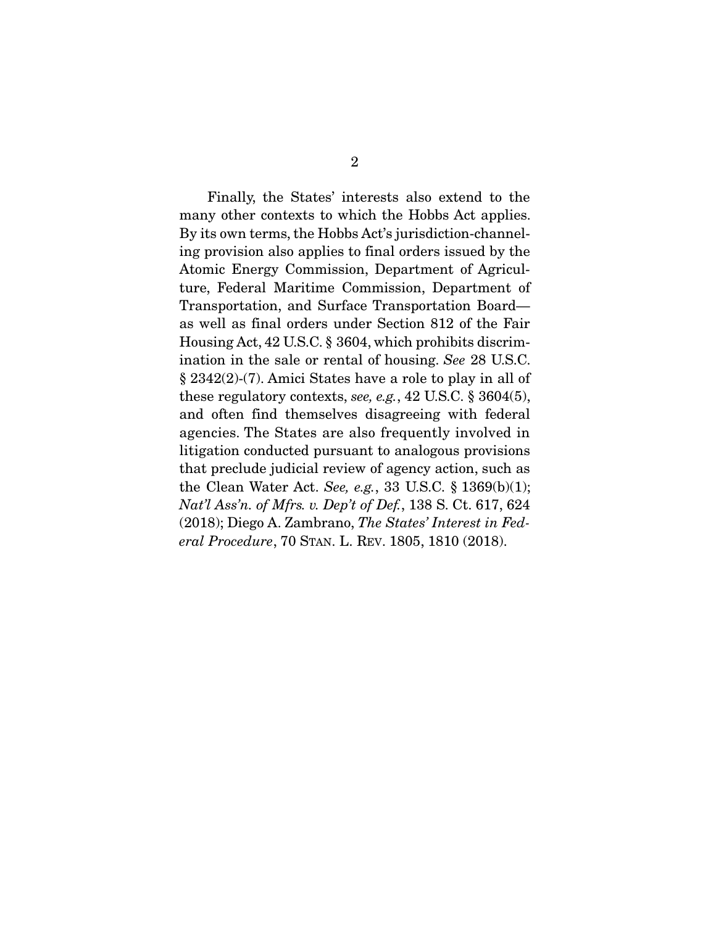Finally, the States' interests also extend to the many other contexts to which the Hobbs Act applies. By its own terms, the Hobbs Act's jurisdiction-channeling provision also applies to final orders issued by the Atomic Energy Commission, Department of Agriculture, Federal Maritime Commission, Department of Transportation, and Surface Transportation Board as well as final orders under Section 812 of the Fair Housing Act, 42 U.S.C. § 3604, which prohibits discrimination in the sale or rental of housing. *See* 28 U.S.C. § 2342(2)-(7). Amici States have a role to play in all of these regulatory contexts, *see, e.g.*, 42 U.S.C. § 3604(5), and often find themselves disagreeing with federal agencies. The States are also frequently involved in litigation conducted pursuant to analogous provisions that preclude judicial review of agency action, such as the Clean Water Act. *See, e.g.*, 33 U.S.C. § 1369(b)(1); *Nat'l Ass'n. of Mfrs. v. Dep't of Def.*, 138 S. Ct. 617, 624 (2018); Diego A. Zambrano, *The States' Interest in Federal Procedure*, 70 STAN. L. REV. 1805, 1810 (2018).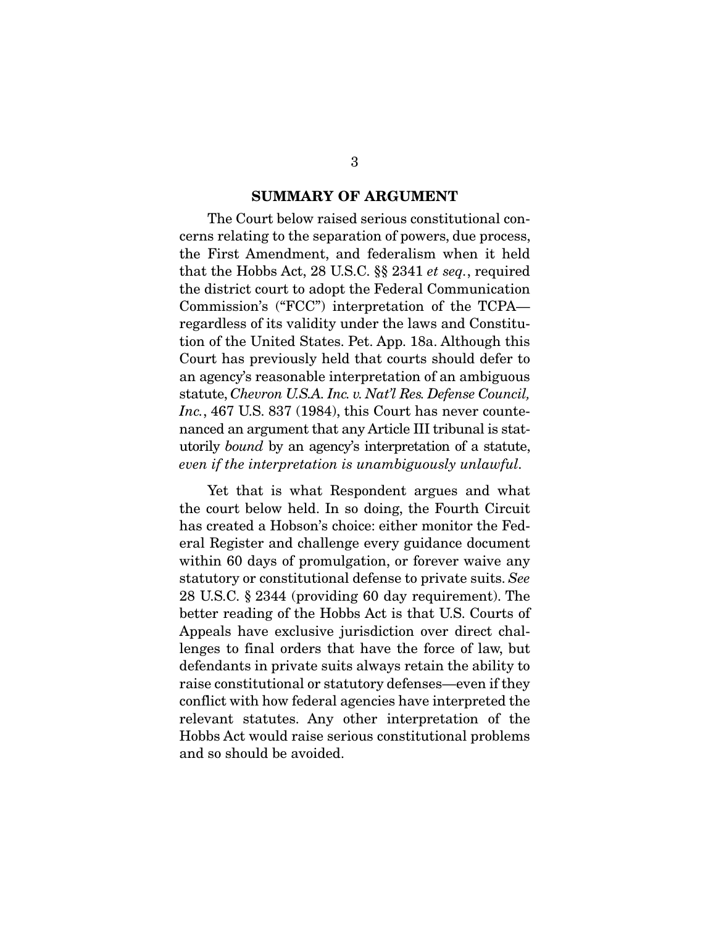#### SUMMARY OF ARGUMENT

 The Court below raised serious constitutional concerns relating to the separation of powers, due process, the First Amendment, and federalism when it held that the Hobbs Act, 28 U.S.C. §§ 2341 *et seq.*, required the district court to adopt the Federal Communication Commission's ("FCC") interpretation of the TCPA regardless of its validity under the laws and Constitution of the United States. Pet. App. 18a. Although this Court has previously held that courts should defer to an agency's reasonable interpretation of an ambiguous statute, *Chevron U.S.A. Inc. v. Nat'l Res. Defense Council, Inc.*, 467 U.S. 837 (1984), this Court has never countenanced an argument that any Article III tribunal is statutorily *bound* by an agency's interpretation of a statute, *even if the interpretation is unambiguously unlawful.*

 Yet that is what Respondent argues and what the court below held. In so doing, the Fourth Circuit has created a Hobson's choice: either monitor the Federal Register and challenge every guidance document within 60 days of promulgation, or forever waive any statutory or constitutional defense to private suits. *See*  28 U.S.C. § 2344 (providing 60 day requirement). The better reading of the Hobbs Act is that U.S. Courts of Appeals have exclusive jurisdiction over direct challenges to final orders that have the force of law, but defendants in private suits always retain the ability to raise constitutional or statutory defenses—even if they conflict with how federal agencies have interpreted the relevant statutes. Any other interpretation of the Hobbs Act would raise serious constitutional problems and so should be avoided.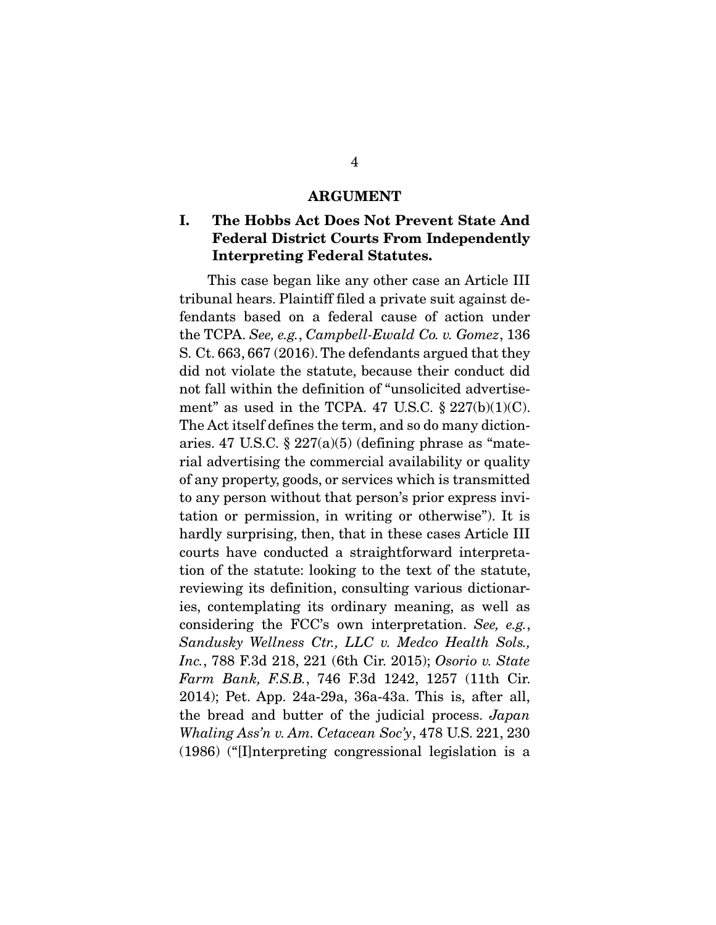#### ARGUMENT

## I. The Hobbs Act Does Not Prevent State And Federal District Courts From Independently Interpreting Federal Statutes.

 This case began like any other case an Article III tribunal hears. Plaintiff filed a private suit against defendants based on a federal cause of action under the TCPA. *See, e.g.*, *Campbell-Ewald Co. v. Gomez*, 136 S. Ct. 663, 667 (2016). The defendants argued that they did not violate the statute, because their conduct did not fall within the definition of "unsolicited advertisement" as used in the TCPA. 47 U.S.C.  $\S 227(b)(1)(C)$ . The Act itself defines the term, and so do many dictionaries. 47 U.S.C.  $\S 227(a)(5)$  (defining phrase as "material advertising the commercial availability or quality of any property, goods, or services which is transmitted to any person without that person's prior express invitation or permission, in writing or otherwise"). It is hardly surprising, then, that in these cases Article III courts have conducted a straightforward interpretation of the statute: looking to the text of the statute, reviewing its definition, consulting various dictionaries, contemplating its ordinary meaning, as well as considering the FCC's own interpretation. *See, e.g.*, *Sandusky Wellness Ctr., LLC v. Medco Health Sols., Inc.*, 788 F.3d 218, 221 (6th Cir. 2015); *Osorio v. State Farm Bank, F.S.B.*, 746 F.3d 1242, 1257 (11th Cir. 2014); Pet. App. 24a-29a, 36a-43a. This is, after all, the bread and butter of the judicial process. *Japan Whaling Ass'n v. Am. Cetacean Soc'y*, 478 U.S. 221, 230 (1986) ("[I]nterpreting congressional legislation is a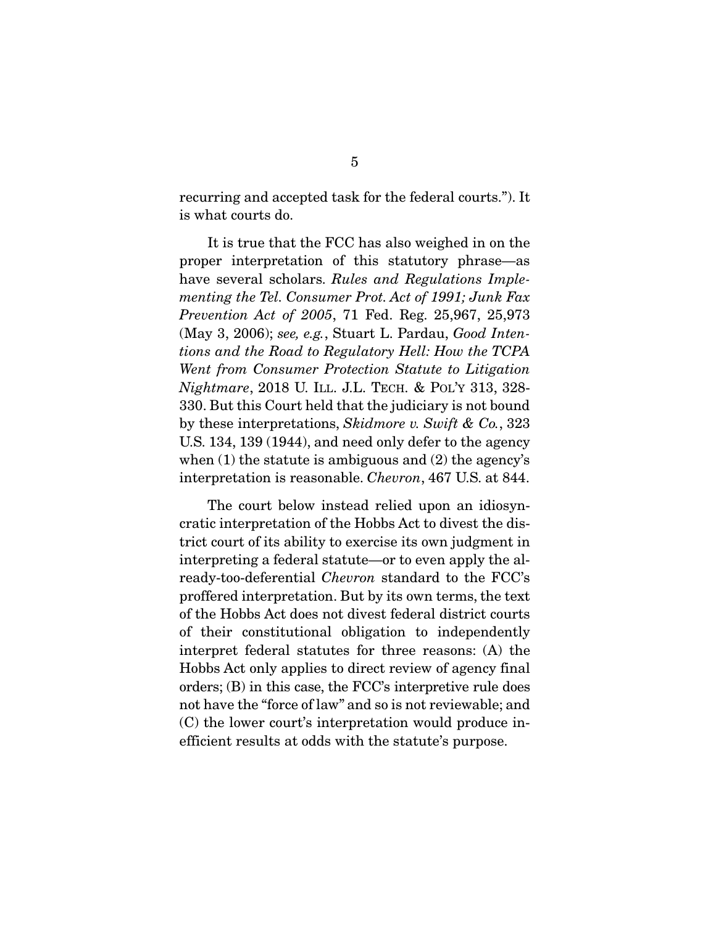recurring and accepted task for the federal courts."). It is what courts do.

 It is true that the FCC has also weighed in on the proper interpretation of this statutory phrase—as have several scholars. *Rules and Regulations Implementing the Tel. Consumer Prot. Act of 1991; Junk Fax Prevention Act of 2005*, 71 Fed. Reg. 25,967, 25,973 (May 3, 2006); *see, e.g.*, Stuart L. Pardau, *Good Intentions and the Road to Regulatory Hell: How the TCPA Went from Consumer Protection Statute to Litigation Nightmare*, 2018 U. ILL. J.L. TECH. & POL'Y 313, 328- 330. But this Court held that the judiciary is not bound by these interpretations, *Skidmore v. Swift & Co.*, 323 U.S. 134, 139 (1944), and need only defer to the agency when  $(1)$  the statute is ambiguous and  $(2)$  the agency's interpretation is reasonable. *Chevron*, 467 U.S. at 844.

 The court below instead relied upon an idiosyncratic interpretation of the Hobbs Act to divest the district court of its ability to exercise its own judgment in interpreting a federal statute—or to even apply the already-too-deferential *Chevron* standard to the FCC's proffered interpretation. But by its own terms, the text of the Hobbs Act does not divest federal district courts of their constitutional obligation to independently interpret federal statutes for three reasons: (A) the Hobbs Act only applies to direct review of agency final orders; (B) in this case, the FCC's interpretive rule does not have the "force of law" and so is not reviewable; and (C) the lower court's interpretation would produce inefficient results at odds with the statute's purpose.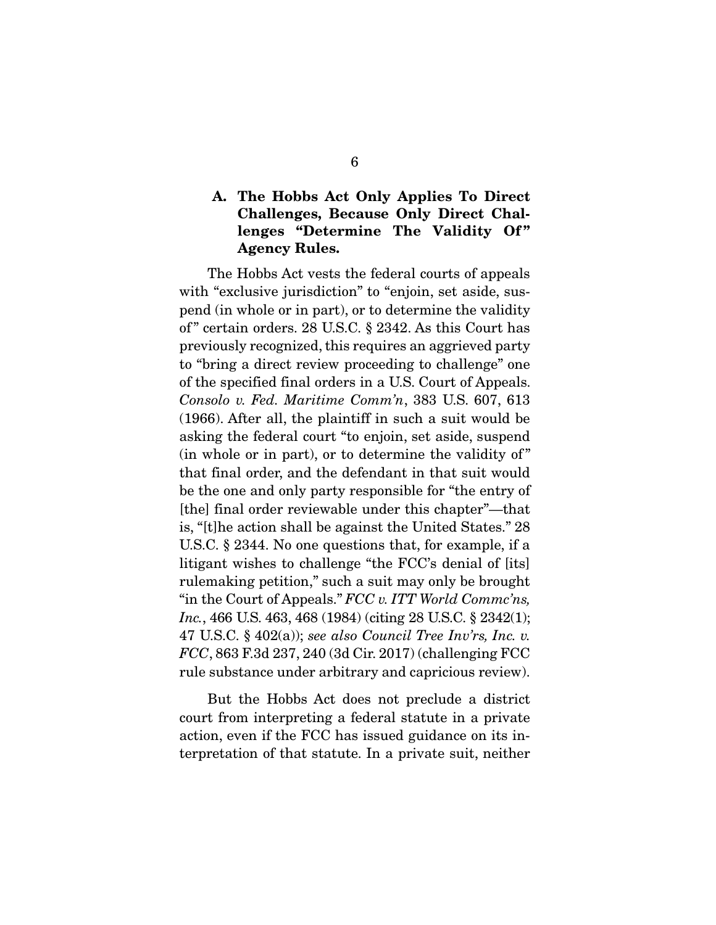### A. The Hobbs Act Only Applies To Direct Challenges, Because Only Direct Challenges "Determine The Validity Of" Agency Rules.

 The Hobbs Act vests the federal courts of appeals with "exclusive jurisdiction" to "enjoin, set aside, suspend (in whole or in part), or to determine the validity of " certain orders. 28 U.S.C. § 2342. As this Court has previously recognized, this requires an aggrieved party to "bring a direct review proceeding to challenge" one of the specified final orders in a U.S. Court of Appeals. *Consolo v. Fed. Maritime Comm'n*, 383 U.S. 607, 613 (1966). After all, the plaintiff in such a suit would be asking the federal court "to enjoin, set aside, suspend (in whole or in part), or to determine the validity of " that final order, and the defendant in that suit would be the one and only party responsible for "the entry of [the] final order reviewable under this chapter"—that is, "[t]he action shall be against the United States." 28 U.S.C. § 2344. No one questions that, for example, if a litigant wishes to challenge "the FCC's denial of [its] rulemaking petition," such a suit may only be brought "in the Court of Appeals." *FCC v. ITT World Commc'ns, Inc.*, 466 U.S. 463, 468 (1984) (citing 28 U.S.C. § 2342(1); 47 U.S.C. § 402(a)); *see also Council Tree Inv'rs, Inc. v. FCC*, 863 F.3d 237, 240 (3d Cir. 2017) (challenging FCC rule substance under arbitrary and capricious review).

 But the Hobbs Act does not preclude a district court from interpreting a federal statute in a private action, even if the FCC has issued guidance on its interpretation of that statute. In a private suit, neither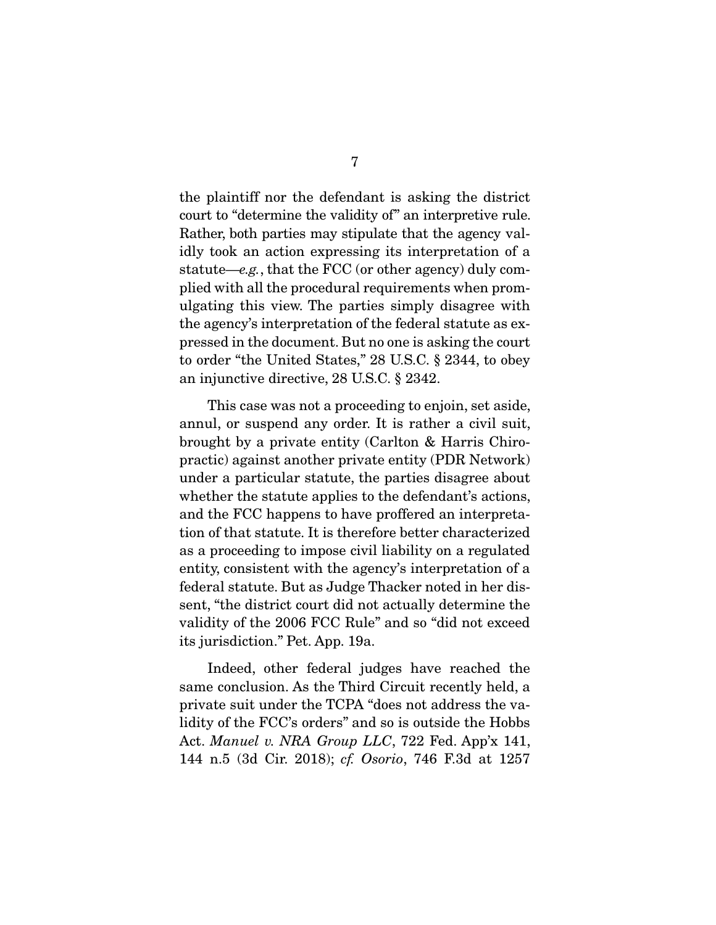the plaintiff nor the defendant is asking the district court to "determine the validity of" an interpretive rule. Rather, both parties may stipulate that the agency validly took an action expressing its interpretation of a statute—*e.g.*, that the FCC (or other agency) duly complied with all the procedural requirements when promulgating this view. The parties simply disagree with the agency's interpretation of the federal statute as expressed in the document. But no one is asking the court to order "the United States," 28 U.S.C. § 2344, to obey an injunctive directive, 28 U.S.C. § 2342.

This case was not a proceeding to enjoin, set aside, annul, or suspend any order. It is rather a civil suit, brought by a private entity (Carlton & Harris Chiropractic) against another private entity (PDR Network) under a particular statute, the parties disagree about whether the statute applies to the defendant's actions, and the FCC happens to have proffered an interpretation of that statute. It is therefore better characterized as a proceeding to impose civil liability on a regulated entity, consistent with the agency's interpretation of a federal statute. But as Judge Thacker noted in her dissent, "the district court did not actually determine the validity of the 2006 FCC Rule" and so "did not exceed its jurisdiction." Pet. App. 19a.

 Indeed, other federal judges have reached the same conclusion. As the Third Circuit recently held, a private suit under the TCPA "does not address the validity of the FCC's orders" and so is outside the Hobbs Act. *Manuel v. NRA Group LLC*, 722 Fed. App'x 141, 144 n.5 (3d Cir. 2018); *cf. Osorio*, 746 F.3d at 1257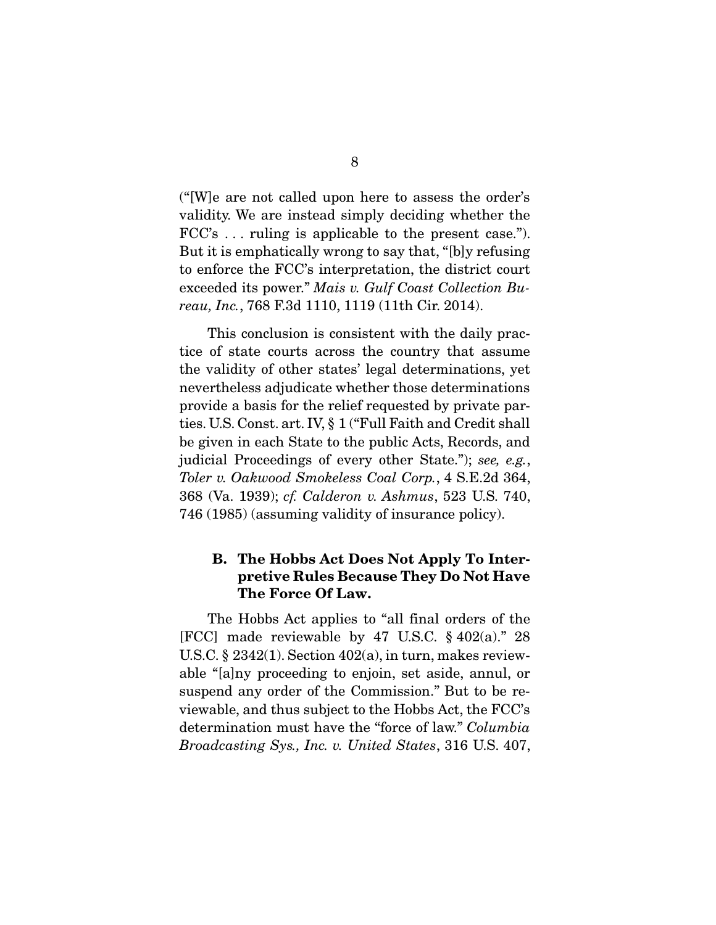("[W]e are not called upon here to assess the order's validity. We are instead simply deciding whether the FCC's . . . ruling is applicable to the present case."). But it is emphatically wrong to say that, "[b]y refusing to enforce the FCC's interpretation, the district court exceeded its power." *Mais v. Gulf Coast Collection Bureau, Inc.*, 768 F.3d 1110, 1119 (11th Cir. 2014).

 This conclusion is consistent with the daily practice of state courts across the country that assume the validity of other states' legal determinations, yet nevertheless adjudicate whether those determinations provide a basis for the relief requested by private parties. U.S. Const. art. IV, § 1 ("Full Faith and Credit shall be given in each State to the public Acts, Records, and judicial Proceedings of every other State."); *see, e.g.*, *Toler v. Oakwood Smokeless Coal Corp.*, 4 S.E.2d 364, 368 (Va. 1939); *cf. Calderon v. Ashmus*, 523 U.S. 740, 746 (1985) (assuming validity of insurance policy).

### B. The Hobbs Act Does Not Apply To Interpretive Rules Because They Do Not Have The Force Of Law.

 The Hobbs Act applies to "all final orders of the [FCC] made reviewable by 47 U.S.C.  $\S$  402(a)." 28 U.S.C.  $\S 2342(1)$ . Section  $402(a)$ , in turn, makes reviewable "[a]ny proceeding to enjoin, set aside, annul, or suspend any order of the Commission." But to be reviewable, and thus subject to the Hobbs Act, the FCC's determination must have the "force of law." *Columbia Broadcasting Sys., Inc. v. United States*, 316 U.S. 407,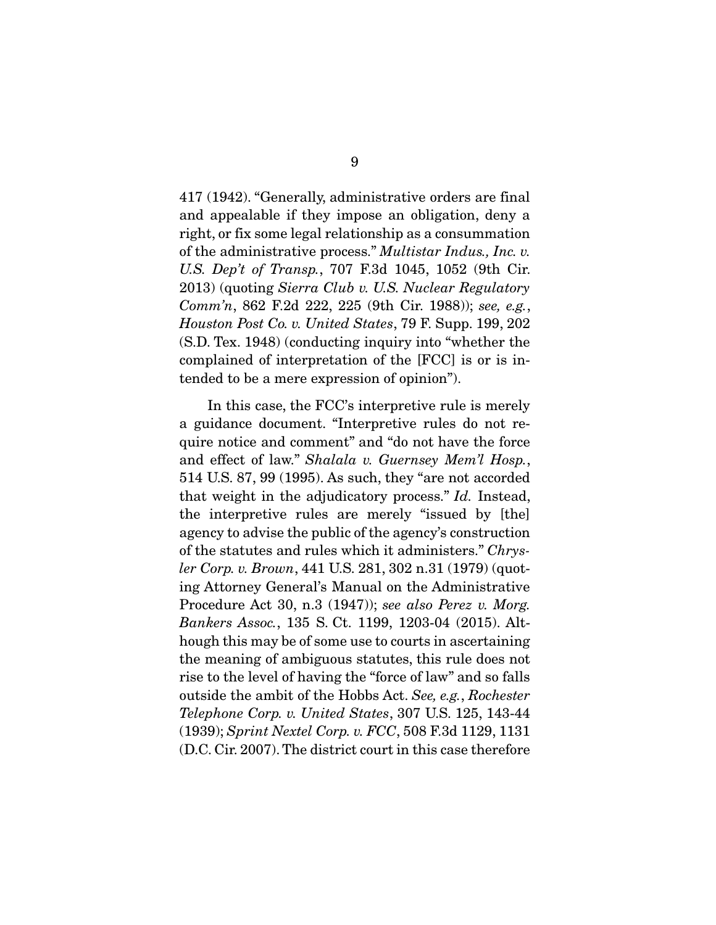417 (1942). "Generally, administrative orders are final and appealable if they impose an obligation, deny a right, or fix some legal relationship as a consummation of the administrative process." *Multistar Indus., Inc. v. U.S. Dep't of Transp.*, 707 F.3d 1045, 1052 (9th Cir. 2013) (quoting *Sierra Club v. U.S. Nuclear Regulatory Comm'n*, 862 F.2d 222, 225 (9th Cir. 1988)); *see, e.g.*, *Houston Post Co. v. United States*, 79 F. Supp. 199, 202 (S.D. Tex. 1948) (conducting inquiry into "whether the complained of interpretation of the [FCC] is or is intended to be a mere expression of opinion").

 In this case, the FCC's interpretive rule is merely a guidance document. "Interpretive rules do not require notice and comment" and "do not have the force and effect of law." *Shalala v. Guernsey Mem'l Hosp.*, 514 U.S. 87, 99 (1995). As such, they "are not accorded that weight in the adjudicatory process." *Id.* Instead, the interpretive rules are merely "issued by [the] agency to advise the public of the agency's construction of the statutes and rules which it administers." *Chrysler Corp. v. Brown*, 441 U.S. 281, 302 n.31 (1979) (quoting Attorney General's Manual on the Administrative Procedure Act 30, n.3 (1947)); *see also Perez v. Morg. Bankers Assoc.*, 135 S. Ct. 1199, 1203-04 (2015). Although this may be of some use to courts in ascertaining the meaning of ambiguous statutes, this rule does not rise to the level of having the "force of law" and so falls outside the ambit of the Hobbs Act. *See, e.g.*, *Rochester Telephone Corp. v. United States*, 307 U.S. 125, 143-44 (1939); *Sprint Nextel Corp. v. FCC*, 508 F.3d 1129, 1131 (D.C. Cir. 2007). The district court in this case therefore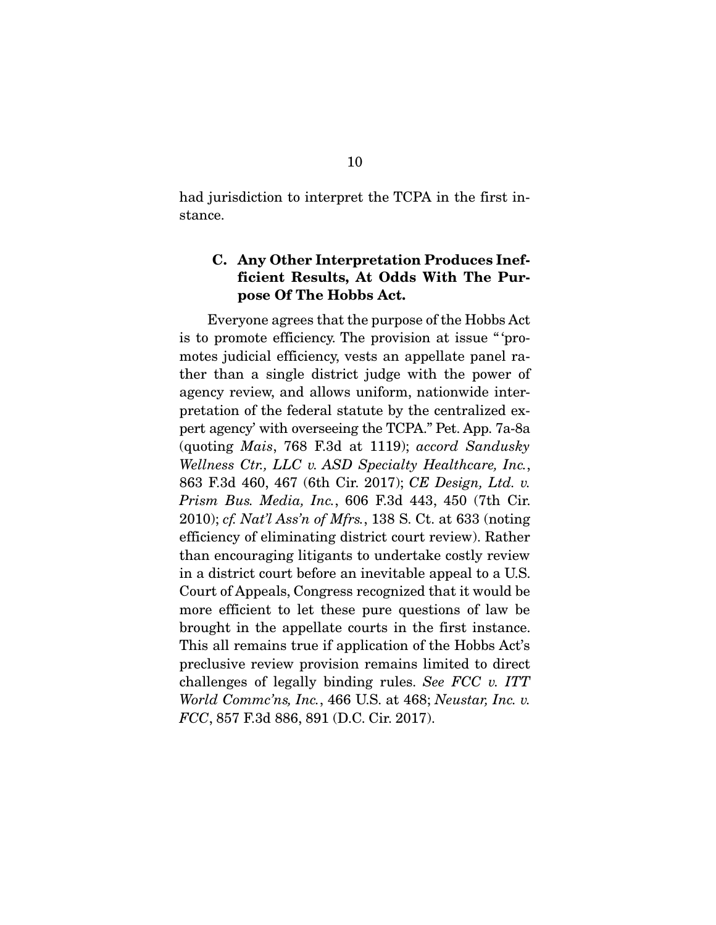had jurisdiction to interpret the TCPA in the first instance.

## C. Any Other Interpretation Produces Inefficient Results, At Odds With The Purpose Of The Hobbs Act.

 Everyone agrees that the purpose of the Hobbs Act is to promote efficiency. The provision at issue " 'promotes judicial efficiency, vests an appellate panel rather than a single district judge with the power of agency review, and allows uniform, nationwide interpretation of the federal statute by the centralized expert agency' with overseeing the TCPA." Pet. App. 7a-8a (quoting *Mais*, 768 F.3d at 1119); *accord Sandusky Wellness Ctr., LLC v. ASD Specialty Healthcare, Inc.*, 863 F.3d 460, 467 (6th Cir. 2017); *CE Design, Ltd. v. Prism Bus. Media, Inc.*, 606 F.3d 443, 450 (7th Cir. 2010); *cf. Nat'l Ass'n of Mfrs.*, 138 S. Ct. at 633 (noting efficiency of eliminating district court review). Rather than encouraging litigants to undertake costly review in a district court before an inevitable appeal to a U.S. Court of Appeals, Congress recognized that it would be more efficient to let these pure questions of law be brought in the appellate courts in the first instance. This all remains true if application of the Hobbs Act's preclusive review provision remains limited to direct challenges of legally binding rules. *See FCC v. ITT World Commc'ns, Inc.*, 466 U.S. at 468; *Neustar, Inc. v. FCC*, 857 F.3d 886, 891 (D.C. Cir. 2017).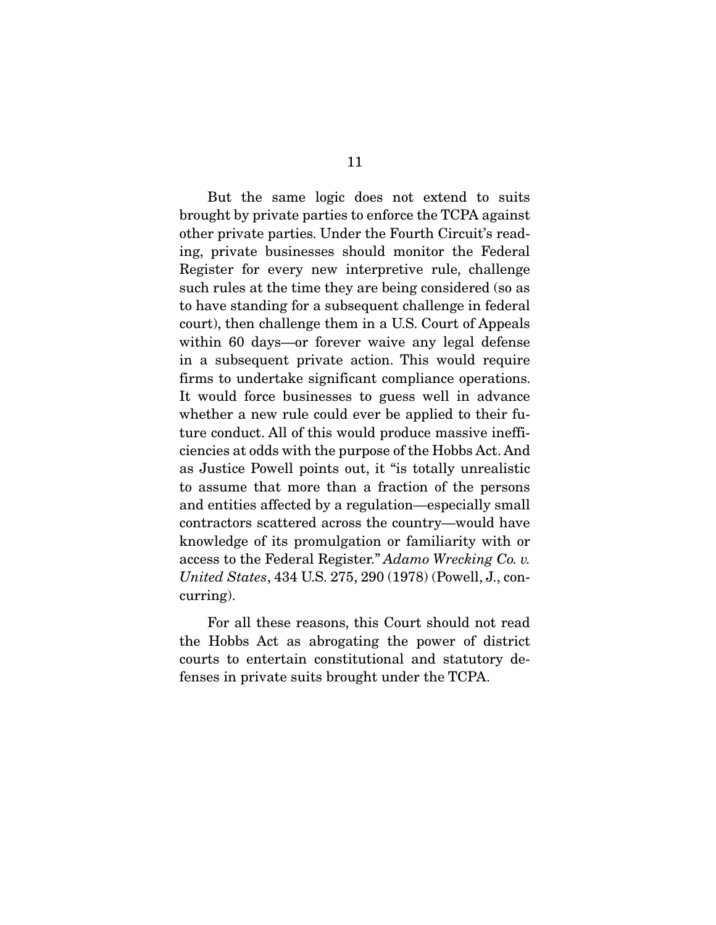But the same logic does not extend to suits brought by private parties to enforce the TCPA against other private parties. Under the Fourth Circuit's reading, private businesses should monitor the Federal Register for every new interpretive rule, challenge such rules at the time they are being considered (so as to have standing for a subsequent challenge in federal court), then challenge them in a U.S. Court of Appeals within 60 days—or forever waive any legal defense in a subsequent private action. This would require firms to undertake significant compliance operations. It would force businesses to guess well in advance whether a new rule could ever be applied to their future conduct. All of this would produce massive inefficiencies at odds with the purpose of the Hobbs Act. And as Justice Powell points out, it "is totally unrealistic to assume that more than a fraction of the persons and entities affected by a regulation—especially small contractors scattered across the country—would have knowledge of its promulgation or familiarity with or access to the Federal Register." *Adamo Wrecking Co. v. United States*, 434 U.S. 275, 290 (1978) (Powell, J., concurring).

 For all these reasons, this Court should not read the Hobbs Act as abrogating the power of district courts to entertain constitutional and statutory defenses in private suits brought under the TCPA.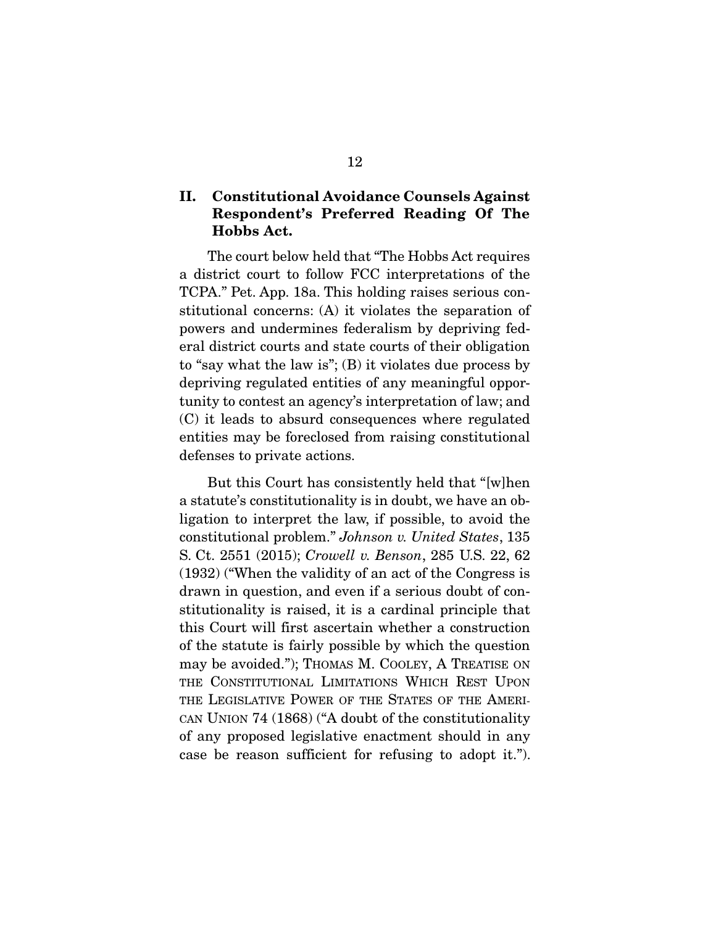### II. Constitutional Avoidance Counsels Against Respondent's Preferred Reading Of The Hobbs Act.

 The court below held that "The Hobbs Act requires a district court to follow FCC interpretations of the TCPA." Pet. App. 18a. This holding raises serious constitutional concerns: (A) it violates the separation of powers and undermines federalism by depriving federal district courts and state courts of their obligation to "say what the law is"; (B) it violates due process by depriving regulated entities of any meaningful opportunity to contest an agency's interpretation of law; and (C) it leads to absurd consequences where regulated entities may be foreclosed from raising constitutional defenses to private actions.

 But this Court has consistently held that "[w]hen a statute's constitutionality is in doubt, we have an obligation to interpret the law, if possible, to avoid the constitutional problem." *Johnson v. United States*, 135 S. Ct. 2551 (2015); *Crowell v. Benson*, 285 U.S. 22, 62 (1932) ("When the validity of an act of the Congress is drawn in question, and even if a serious doubt of constitutionality is raised, it is a cardinal principle that this Court will first ascertain whether a construction of the statute is fairly possible by which the question may be avoided."); THOMAS M. COOLEY, A TREATISE ON THE CONSTITUTIONAL LIMITATIONS WHICH REST UPON THE LEGISLATIVE POWER OF THE STATES OF THE AMERI-CAN UNION 74 (1868) ("A doubt of the constitutionality of any proposed legislative enactment should in any case be reason sufficient for refusing to adopt it.").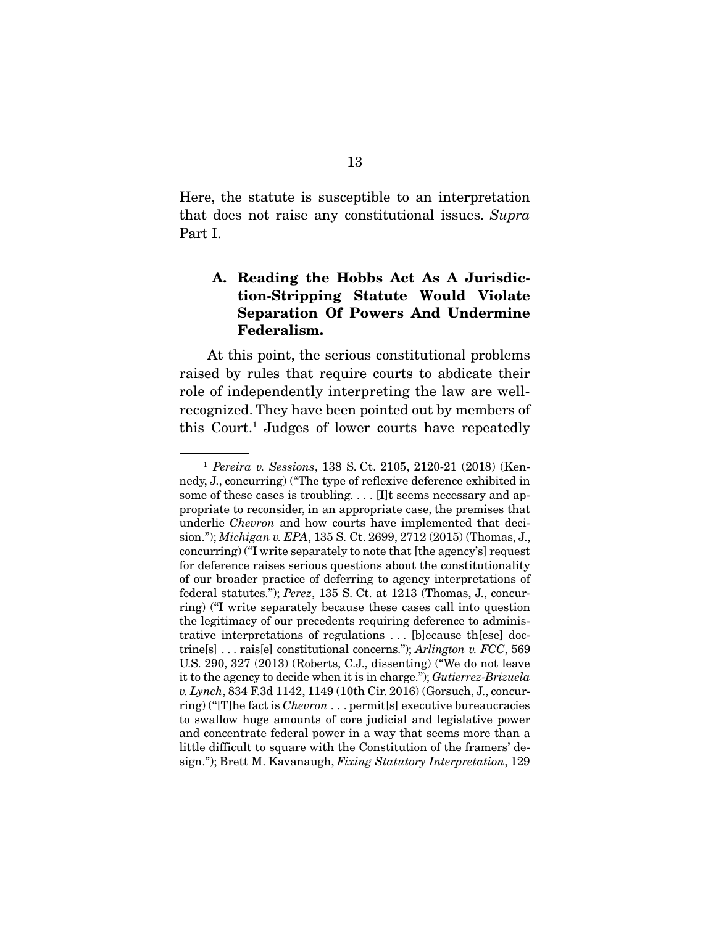Here, the statute is susceptible to an interpretation that does not raise any constitutional issues. *Supra*  Part I.

## A. Reading the Hobbs Act As A Jurisdiction-Stripping Statute Would Violate Separation Of Powers And Undermine Federalism.

 At this point, the serious constitutional problems raised by rules that require courts to abdicate their role of independently interpreting the law are wellrecognized. They have been pointed out by members of this Court.1 Judges of lower courts have repeatedly

<sup>1</sup> *Pereira v. Sessions*, 138 S. Ct. 2105, 2120-21 (2018) (Kennedy, J., concurring) ("The type of reflexive deference exhibited in some of these cases is troubling. . . . [I]t seems necessary and appropriate to reconsider, in an appropriate case, the premises that underlie *Chevron* and how courts have implemented that decision."); *Michigan v. EPA*, 135 S. Ct. 2699, 2712 (2015) (Thomas, J., concurring) ("I write separately to note that [the agency's] request for deference raises serious questions about the constitutionality of our broader practice of deferring to agency interpretations of federal statutes."); *Perez*, 135 S. Ct. at 1213 (Thomas, J., concurring) ("I write separately because these cases call into question the legitimacy of our precedents requiring deference to administrative interpretations of regulations . . . [b]ecause th[ese] doctrine[s] . . . rais[e] constitutional concerns."); *Arlington v. FCC*, 569 U.S. 290, 327 (2013) (Roberts, C.J., dissenting) ("We do not leave it to the agency to decide when it is in charge."); *Gutierrez-Brizuela v. Lynch*, 834 F.3d 1142, 1149 (10th Cir. 2016) (Gorsuch, J., concurring) ("[T]he fact is *Chevron* . . . permit[s] executive bureaucracies to swallow huge amounts of core judicial and legislative power and concentrate federal power in a way that seems more than a little difficult to square with the Constitution of the framers' design."); Brett M. Kavanaugh, *Fixing Statutory Interpretation*, 129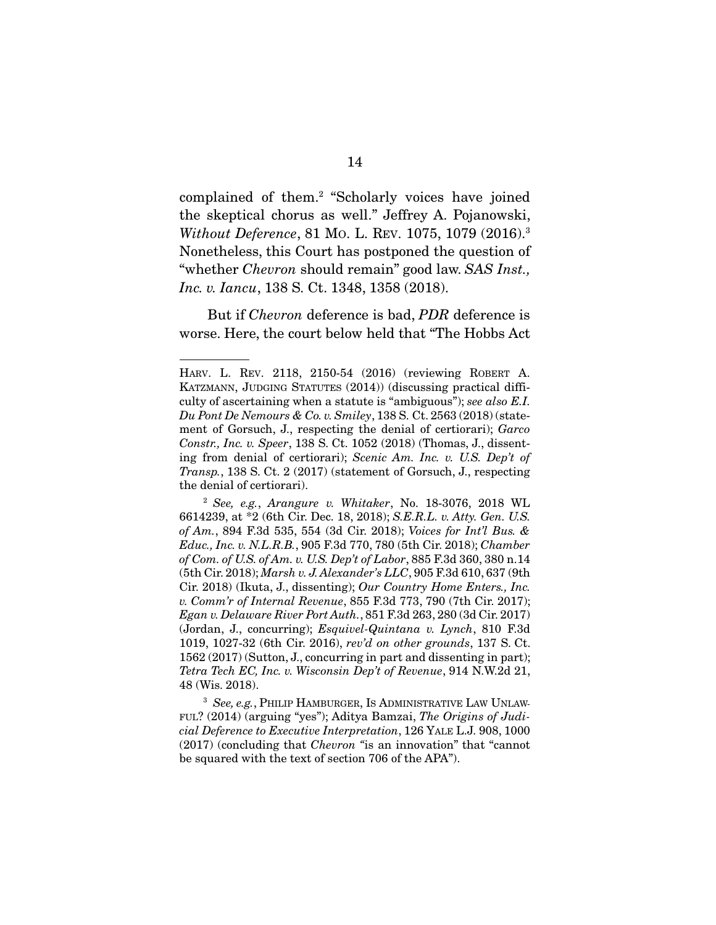complained of them.2 "Scholarly voices have joined the skeptical chorus as well." Jeffrey A. Pojanowski, *Without Deference*, 81 MO. L. REV. 1075, 1079 (2016).3 Nonetheless, this Court has postponed the question of "whether *Chevron* should remain" good law. *SAS Inst., Inc. v. Iancu*, 138 S. Ct. 1348, 1358 (2018).

 But if *Chevron* deference is bad, *PDR* deference is worse. Here, the court below held that "The Hobbs Act

HARV. L. REV. 2118, 2150-54 (2016) (reviewing ROBERT A. KATZMANN, JUDGING STATUTES (2014)) (discussing practical difficulty of ascertaining when a statute is "ambiguous"); *see also E.I. Du Pont De Nemours & Co. v. Smiley*, 138 S. Ct. 2563 (2018) (statement of Gorsuch, J., respecting the denial of certiorari); *Garco Constr., Inc. v. Speer*, 138 S. Ct. 1052 (2018) (Thomas, J., dissenting from denial of certiorari); *Scenic Am. Inc. v. U.S. Dep't of Transp.*, 138 S. Ct. 2 (2017) (statement of Gorsuch, J., respecting the denial of certiorari).

<sup>2</sup> *See, e.g.*, *Arangure v. Whitaker*, No. 18-3076, 2018 WL 6614239, at \*2 (6th Cir. Dec. 18, 2018); *S.E.R.L. v. Atty. Gen. U.S. of Am.*, 894 F.3d 535, 554 (3d Cir. 2018); *Voices for Int'l Bus. & Educ., Inc. v. N.L.R.B.*, 905 F.3d 770, 780 (5th Cir. 2018); *Chamber of Com. of U.S. of Am. v. U.S. Dep't of Labor*, 885 F.3d 360, 380 n.14 (5th Cir. 2018); *Marsh v. J. Alexander's LLC*, 905 F.3d 610, 637 (9th Cir. 2018) (Ikuta, J., dissenting); *Our Country Home Enters., Inc. v. Comm'r of Internal Revenue*, 855 F.3d 773, 790 (7th Cir. 2017); *Egan v. Delaware River Port Auth.*, 851 F.3d 263, 280 (3d Cir. 2017) (Jordan, J., concurring); *Esquivel-Quintana v. Lynch*, 810 F.3d 1019, 1027-32 (6th Cir. 2016), *rev'd on other grounds*, 137 S. Ct. 1562 (2017) (Sutton, J., concurring in part and dissenting in part); *Tetra Tech EC, Inc. v. Wisconsin Dep't of Revenue*, 914 N.W.2d 21, 48 (Wis. 2018).

<sup>3</sup> *See, e.g.*, PHILIP HAMBURGER, IS ADMINISTRATIVE LAW UNLAW-FUL? (2014) (arguing "yes"); Aditya Bamzai, *The Origins of Judicial Deference to Executive Interpretation*, 126 YALE L.J. 908, 1000 (2017) (concluding that *Chevron "*is an innovation" that "cannot be squared with the text of section 706 of the APA").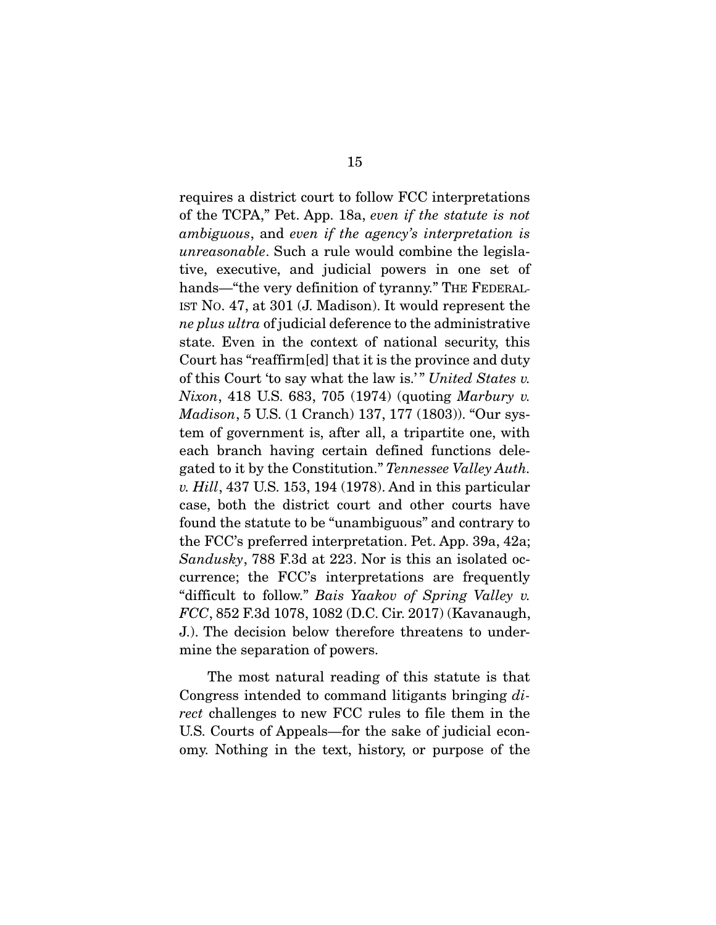requires a district court to follow FCC interpretations of the TCPA," Pet. App. 18a, *even if the statute is not ambiguous*, and *even if the agency's interpretation is unreasonable*. Such a rule would combine the legislative, executive, and judicial powers in one set of hands—"the very definition of tyranny." THE FEDERAL-IST NO. 47, at 301 (J. Madison). It would represent the *ne plus ultra* of judicial deference to the administrative state. Even in the context of national security, this Court has "reaffirm[ed] that it is the province and duty of this Court 'to say what the law is.'" *United States v. Nixon*, 418 U.S. 683, 705 (1974) (quoting *Marbury v. Madison*, 5 U.S. (1 Cranch) 137, 177 (1803)). "Our system of government is, after all, a tripartite one, with each branch having certain defined functions delegated to it by the Constitution." *Tennessee Valley Auth. v. Hill*, 437 U.S. 153, 194 (1978). And in this particular case, both the district court and other courts have found the statute to be "unambiguous" and contrary to the FCC's preferred interpretation. Pet. App. 39a, 42a; *Sandusky*, 788 F.3d at 223. Nor is this an isolated occurrence; the FCC's interpretations are frequently "difficult to follow." *Bais Yaakov of Spring Valley v. FCC*, 852 F.3d 1078, 1082 (D.C. Cir. 2017) (Kavanaugh, J.). The decision below therefore threatens to undermine the separation of powers.

The most natural reading of this statute is that Congress intended to command litigants bringing *direct* challenges to new FCC rules to file them in the U.S. Courts of Appeals—for the sake of judicial economy. Nothing in the text, history, or purpose of the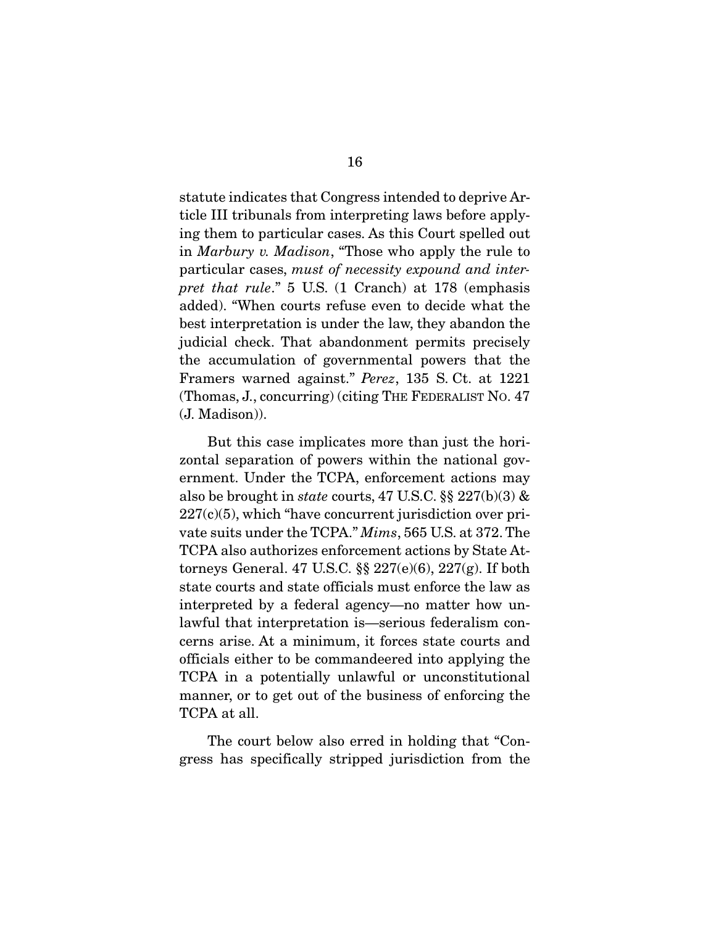statute indicates that Congress intended to deprive Article III tribunals from interpreting laws before applying them to particular cases. As this Court spelled out in *Marbury v. Madison*, "Those who apply the rule to particular cases, *must of necessity expound and interpret that rule*." 5 U.S. (1 Cranch) at 178 (emphasis added). "When courts refuse even to decide what the best interpretation is under the law, they abandon the judicial check. That abandonment permits precisely the accumulation of governmental powers that the Framers warned against." *Perez*, 135 S. Ct. at 1221 (Thomas, J., concurring) (citing THE FEDERALIST NO. 47 (J. Madison)).

 But this case implicates more than just the horizontal separation of powers within the national government. Under the TCPA, enforcement actions may also be brought in *state* courts, 47 U.S.C. §§ 227(b)(3) &  $227(c)(5)$ , which "have concurrent jurisdiction over private suits under the TCPA." *Mims*, 565 U.S. at 372. The TCPA also authorizes enforcement actions by State Attorneys General. 47 U.S.C.  $\S$   $227(e)(6)$ ,  $227(g)$ . If both state courts and state officials must enforce the law as interpreted by a federal agency—no matter how unlawful that interpretation is—serious federalism concerns arise. At a minimum, it forces state courts and officials either to be commandeered into applying the TCPA in a potentially unlawful or unconstitutional manner, or to get out of the business of enforcing the TCPA at all.

 The court below also erred in holding that "Congress has specifically stripped jurisdiction from the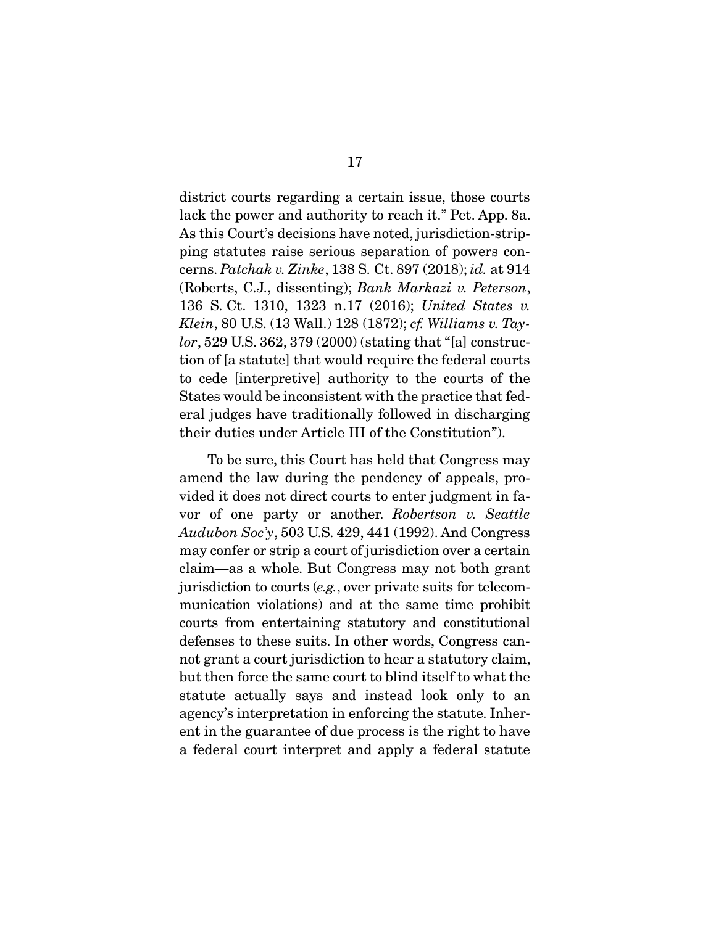district courts regarding a certain issue, those courts lack the power and authority to reach it." Pet. App. 8a. As this Court's decisions have noted, jurisdiction-stripping statutes raise serious separation of powers concerns. *Patchak v. Zinke*, 138 S. Ct. 897 (2018); *id.* at 914 (Roberts, C.J., dissenting); *Bank Markazi v. Peterson*, 136 S. Ct. 1310, 1323 n.17 (2016); *United States v. Klein*, 80 U.S. (13 Wall.) 128 (1872); *cf. Williams v. Taylor*, 529 U.S. 362, 379 (2000) (stating that "[a] construction of [a statute] that would require the federal courts to cede [interpretive] authority to the courts of the States would be inconsistent with the practice that federal judges have traditionally followed in discharging their duties under Article III of the Constitution").

 To be sure, this Court has held that Congress may amend the law during the pendency of appeals, provided it does not direct courts to enter judgment in favor of one party or another. *Robertson v. Seattle Audubon Soc'y*, 503 U.S. 429, 441 (1992). And Congress may confer or strip a court of jurisdiction over a certain claim—as a whole. But Congress may not both grant jurisdiction to courts (*e.g.*, over private suits for telecommunication violations) and at the same time prohibit courts from entertaining statutory and constitutional defenses to these suits. In other words, Congress cannot grant a court jurisdiction to hear a statutory claim, but then force the same court to blind itself to what the statute actually says and instead look only to an agency's interpretation in enforcing the statute. Inherent in the guarantee of due process is the right to have a federal court interpret and apply a federal statute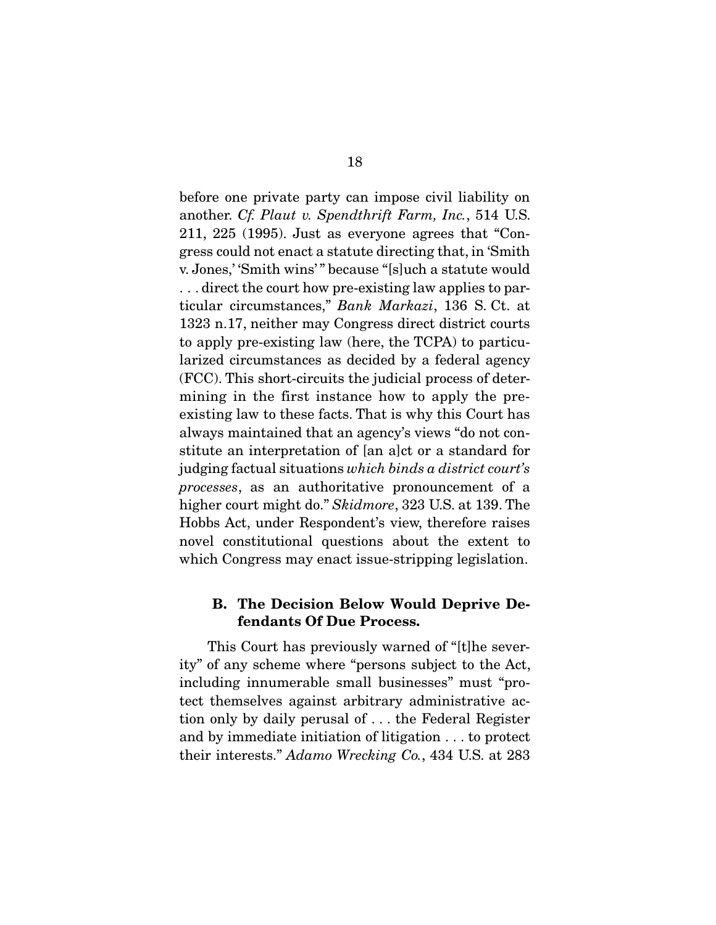before one private party can impose civil liability on another. *Cf. Plaut v. Spendthrift Farm, Inc.*, 514 U.S. 211, 225 (1995). Just as everyone agrees that "Congress could not enact a statute directing that, in 'Smith v. Jones,' 'Smith wins' " because "[s]uch a statute would . . . direct the court how pre-existing law applies to particular circumstances," *Bank Markazi*, 136 S. Ct. at 1323 n.17, neither may Congress direct district courts to apply pre-existing law (here, the TCPA) to particularized circumstances as decided by a federal agency (FCC). This short-circuits the judicial process of determining in the first instance how to apply the preexisting law to these facts. That is why this Court has always maintained that an agency's views "do not constitute an interpretation of [an a]ct or a standard for judging factual situations *which binds a district court's processes*, as an authoritative pronouncement of a higher court might do." *Skidmore*, 323 U.S. at 139. The Hobbs Act, under Respondent's view, therefore raises novel constitutional questions about the extent to which Congress may enact issue-stripping legislation.

### B. The Decision Below Would Deprive Defendants Of Due Process.

 This Court has previously warned of "[t]he severity" of any scheme where "persons subject to the Act, including innumerable small businesses" must "protect themselves against arbitrary administrative action only by daily perusal of . . . the Federal Register and by immediate initiation of litigation . . . to protect their interests." *Adamo Wrecking Co.*, 434 U.S. at 283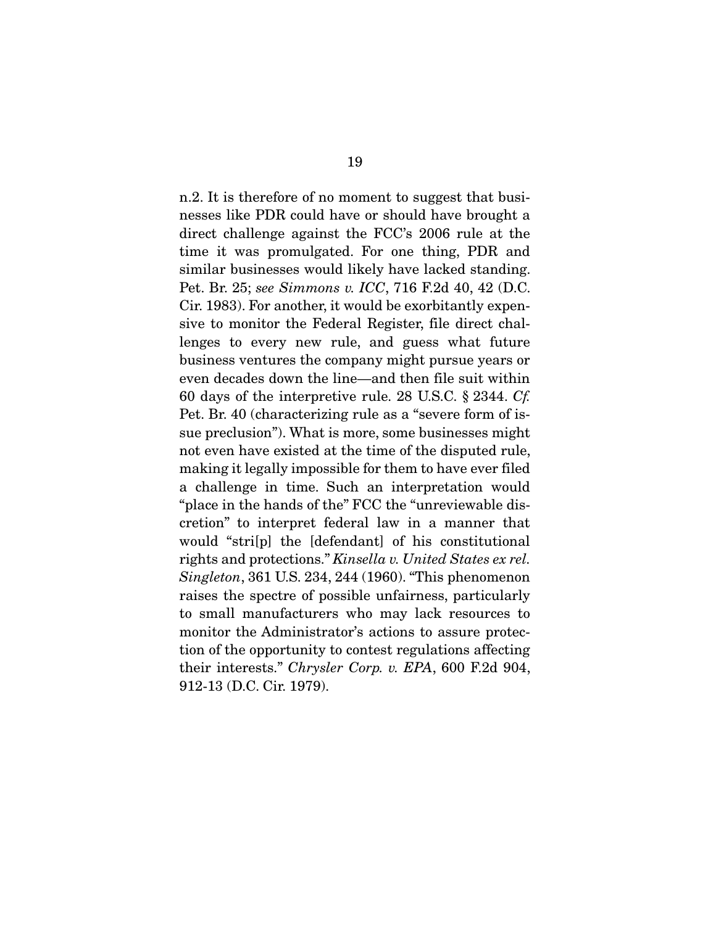n.2. It is therefore of no moment to suggest that businesses like PDR could have or should have brought a direct challenge against the FCC's 2006 rule at the time it was promulgated. For one thing, PDR and similar businesses would likely have lacked standing. Pet. Br. 25; *see Simmons v. ICC*, 716 F.2d 40, 42 (D.C. Cir. 1983). For another, it would be exorbitantly expensive to monitor the Federal Register, file direct challenges to every new rule, and guess what future business ventures the company might pursue years or even decades down the line—and then file suit within 60 days of the interpretive rule. 28 U.S.C. § 2344. *Cf.*  Pet. Br. 40 (characterizing rule as a "severe form of issue preclusion"). What is more, some businesses might not even have existed at the time of the disputed rule, making it legally impossible for them to have ever filed a challenge in time. Such an interpretation would "place in the hands of the" FCC the "unreviewable discretion" to interpret federal law in a manner that would "stri[p] the [defendant] of his constitutional rights and protections." *Kinsella v. United States ex rel. Singleton*, 361 U.S. 234, 244 (1960). "This phenomenon raises the spectre of possible unfairness, particularly to small manufacturers who may lack resources to monitor the Administrator's actions to assure protection of the opportunity to contest regulations affecting their interests." *Chrysler Corp. v. EPA*, 600 F.2d 904, 912-13 (D.C. Cir. 1979).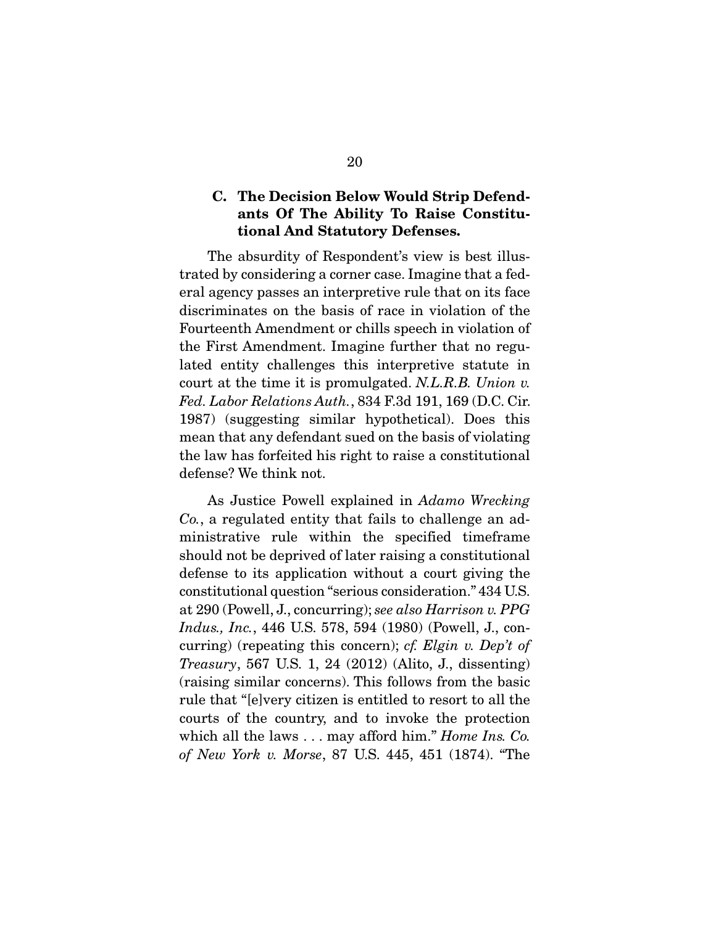### C. The Decision Below Would Strip Defendants Of The Ability To Raise Constitutional And Statutory Defenses.

 The absurdity of Respondent's view is best illustrated by considering a corner case. Imagine that a federal agency passes an interpretive rule that on its face discriminates on the basis of race in violation of the Fourteenth Amendment or chills speech in violation of the First Amendment. Imagine further that no regulated entity challenges this interpretive statute in court at the time it is promulgated. *N.L.R.B. Union v. Fed. Labor Relations Auth.*, 834 F.3d 191, 169 (D.C. Cir. 1987) (suggesting similar hypothetical). Does this mean that any defendant sued on the basis of violating the law has forfeited his right to raise a constitutional defense? We think not.

 As Justice Powell explained in *Adamo Wrecking Co.*, a regulated entity that fails to challenge an administrative rule within the specified timeframe should not be deprived of later raising a constitutional defense to its application without a court giving the constitutional question "serious consideration." 434 U.S. at 290 (Powell, J., concurring); *see also Harrison v. PPG Indus., Inc.*, 446 U.S. 578, 594 (1980) (Powell, J., concurring) (repeating this concern); *cf. Elgin v. Dep't of Treasury*, 567 U.S. 1, 24 (2012) (Alito, J., dissenting) (raising similar concerns). This follows from the basic rule that "[e]very citizen is entitled to resort to all the courts of the country, and to invoke the protection which all the laws . . . may afford him." *Home Ins. Co. of New York v. Morse*, 87 U.S. 445, 451 (1874). "The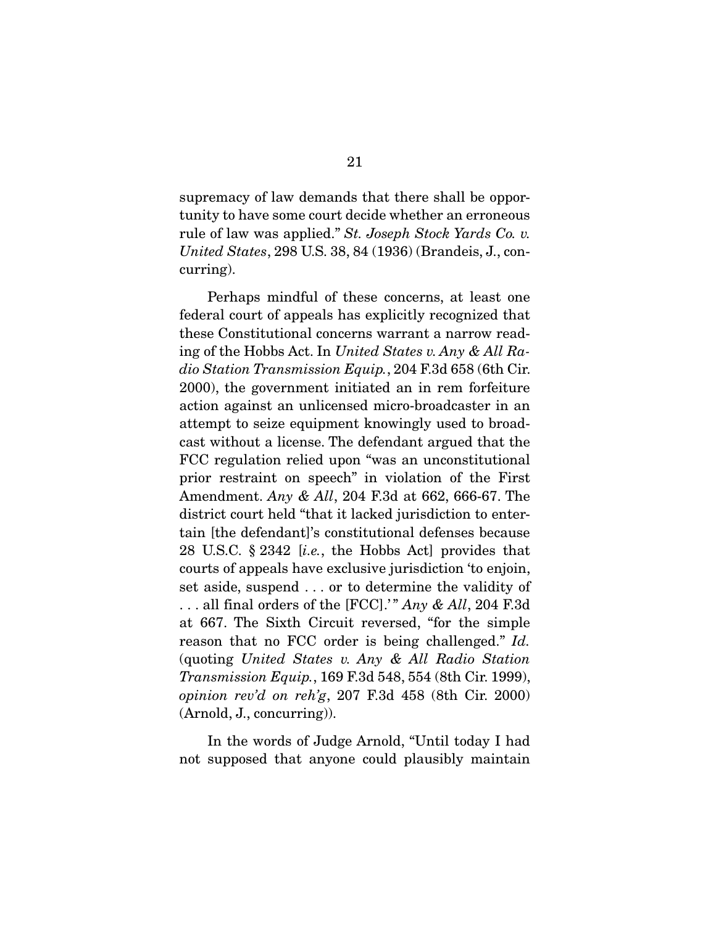supremacy of law demands that there shall be opportunity to have some court decide whether an erroneous rule of law was applied." *St. Joseph Stock Yards Co. v. United States*, 298 U.S. 38, 84 (1936) (Brandeis, J., concurring).

 Perhaps mindful of these concerns, at least one federal court of appeals has explicitly recognized that these Constitutional concerns warrant a narrow reading of the Hobbs Act. In *United States v. Any & All Radio Station Transmission Equip.*, 204 F.3d 658 (6th Cir. 2000), the government initiated an in rem forfeiture action against an unlicensed micro-broadcaster in an attempt to seize equipment knowingly used to broadcast without a license. The defendant argued that the FCC regulation relied upon "was an unconstitutional prior restraint on speech" in violation of the First Amendment. *Any & All*, 204 F.3d at 662, 666-67. The district court held "that it lacked jurisdiction to entertain [the defendant]'s constitutional defenses because 28 U.S.C. § 2342 [*i.e.*, the Hobbs Act] provides that courts of appeals have exclusive jurisdiction 'to enjoin, set aside, suspend . . . or to determine the validity of . . . all final orders of the [FCC].' '' *Any & All*, 204 F.3d at 667. The Sixth Circuit reversed, "for the simple reason that no FCC order is being challenged." *Id.* (quoting *United States v. Any & All Radio Station Transmission Equip.*, 169 F.3d 548, 554 (8th Cir. 1999), *opinion rev'd on reh'g*, 207 F.3d 458 (8th Cir. 2000) (Arnold, J., concurring)).

 In the words of Judge Arnold, "Until today I had not supposed that anyone could plausibly maintain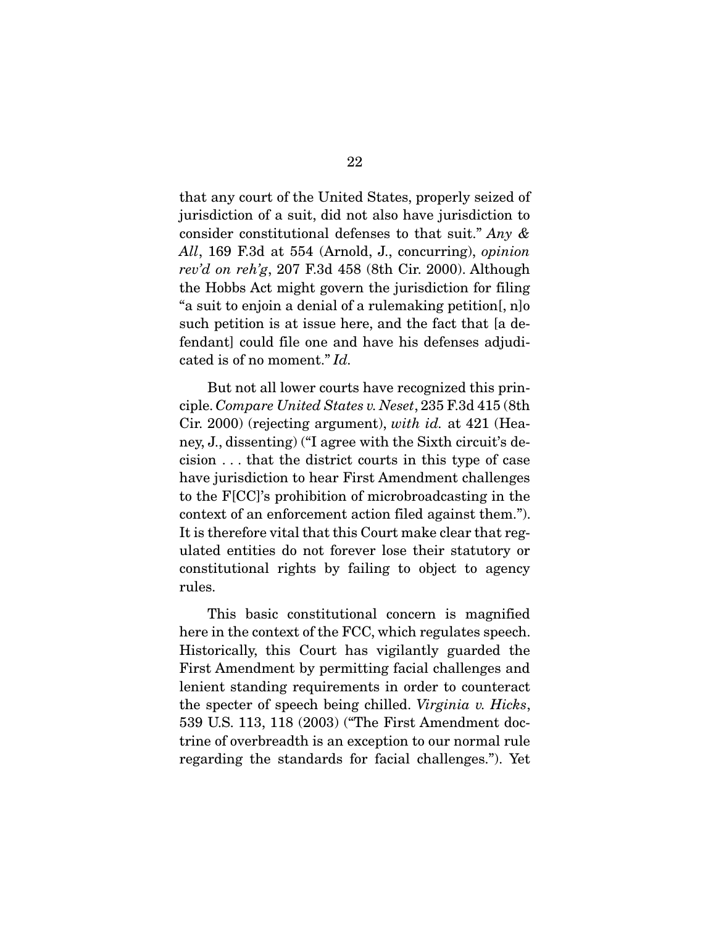that any court of the United States, properly seized of jurisdiction of a suit, did not also have jurisdiction to consider constitutional defenses to that suit." *Any & All*, 169 F.3d at 554 (Arnold, J., concurring), *opinion rev'd on reh'g*, 207 F.3d 458 (8th Cir. 2000). Although the Hobbs Act might govern the jurisdiction for filing "a suit to enjoin a denial of a rulemaking petition[, n]o such petition is at issue here, and the fact that [a defendant] could file one and have his defenses adjudicated is of no moment." *Id.*

 But not all lower courts have recognized this principle. *Compare United States v. Neset*, 235 F.3d 415 (8th Cir. 2000) (rejecting argument), *with id.* at 421 (Heaney, J., dissenting) ("I agree with the Sixth circuit's decision . . . that the district courts in this type of case have jurisdiction to hear First Amendment challenges to the F[CC]'s prohibition of microbroadcasting in the context of an enforcement action filed against them."). It is therefore vital that this Court make clear that regulated entities do not forever lose their statutory or constitutional rights by failing to object to agency rules.

 This basic constitutional concern is magnified here in the context of the FCC, which regulates speech. Historically, this Court has vigilantly guarded the First Amendment by permitting facial challenges and lenient standing requirements in order to counteract the specter of speech being chilled. *Virginia v. Hicks*, 539 U.S. 113, 118 (2003) ("The First Amendment doctrine of overbreadth is an exception to our normal rule regarding the standards for facial challenges."). Yet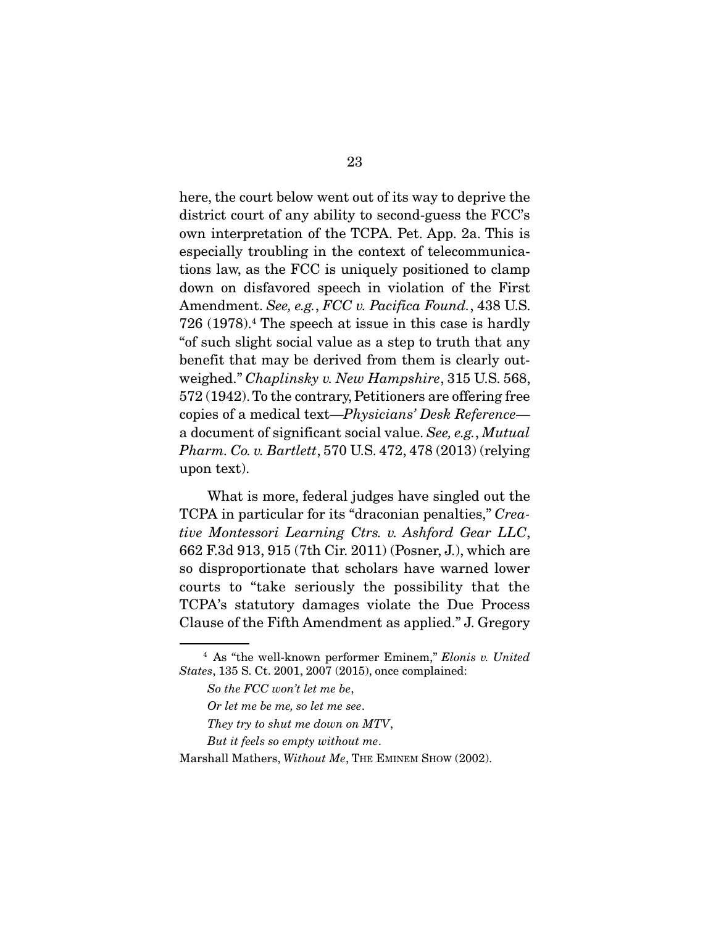here, the court below went out of its way to deprive the district court of any ability to second-guess the FCC's own interpretation of the TCPA. Pet. App. 2a. This is especially troubling in the context of telecommunications law, as the FCC is uniquely positioned to clamp down on disfavored speech in violation of the First Amendment. *See, e.g.*, *FCC v. Pacifica Found.*, 438 U.S. 726 (1978).4 The speech at issue in this case is hardly "of such slight social value as a step to truth that any benefit that may be derived from them is clearly outweighed." *Chaplinsky v. New Hampshire*, 315 U.S. 568, 572 (1942). To the contrary, Petitioners are offering free copies of a medical text—*Physicians' Desk Reference* a document of significant social value. *See, e.g.*, *Mutual Pharm. Co. v. Bartlett*, 570 U.S. 472, 478 (2013) (relying upon text).

 What is more, federal judges have singled out the TCPA in particular for its "draconian penalties," *Creative Montessori Learning Ctrs. v. Ashford Gear LLC*, 662 F.3d 913, 915 (7th Cir. 2011) (Posner, J.), which are so disproportionate that scholars have warned lower courts to "take seriously the possibility that the TCPA's statutory damages violate the Due Process Clause of the Fifth Amendment as applied." J. Gregory

- *They try to shut me down on MTV*,
- *But it feels so empty without me*.

<sup>4</sup> As "the well-known performer Eminem," *Elonis v. United States*, 135 S. Ct. 2001, 2007 (2015), once complained:

*So the FCC won't let me be*,

*Or let me be me, so let me see*.

Marshall Mathers, *Without Me*, THE EMINEM SHOW (2002).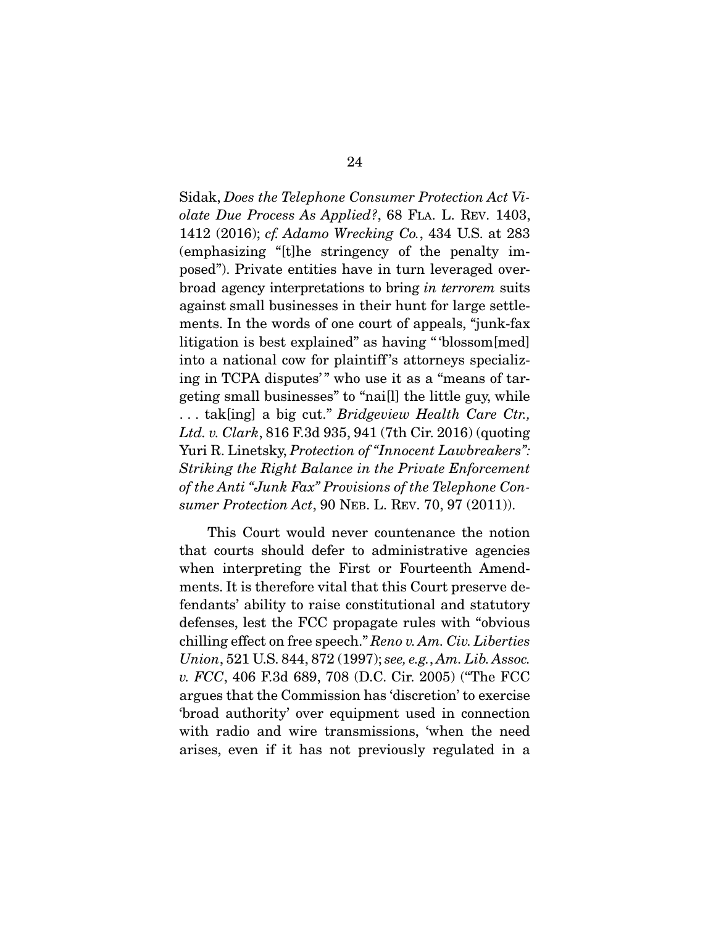Sidak, *Does the Telephone Consumer Protection Act Violate Due Process As Applied?*, 68 FLA. L. REV. 1403, 1412 (2016); *cf. Adamo Wrecking Co.*, 434 U.S. at 283 (emphasizing "[t]he stringency of the penalty imposed"). Private entities have in turn leveraged overbroad agency interpretations to bring *in terrorem* suits against small businesses in their hunt for large settlements. In the words of one court of appeals, "junk-fax litigation is best explained" as having " 'blossom[med] into a national cow for plaintiff 's attorneys specializing in TCPA disputes'" who use it as a "means of targeting small businesses" to "nai[l] the little guy, while . . . tak[ing] a big cut." *Bridgeview Health Care Ctr., Ltd. v. Clark*, 816 F.3d 935, 941 (7th Cir. 2016) (quoting Yuri R. Linetsky, *Protection of "Innocent Lawbreakers": Striking the Right Balance in the Private Enforcement of the Anti "Junk Fax" Provisions of the Telephone Consumer Protection Act*, 90 NEB. L. REV. 70, 97 (2011)).

 This Court would never countenance the notion that courts should defer to administrative agencies when interpreting the First or Fourteenth Amendments. It is therefore vital that this Court preserve defendants' ability to raise constitutional and statutory defenses, lest the FCC propagate rules with "obvious chilling effect on free speech." *Reno v. Am. Civ. Liberties Union*, 521 U.S. 844, 872 (1997); *see, e.g.*, *Am. Lib. Assoc. v. FCC*, 406 F.3d 689, 708 (D.C. Cir. 2005) ("The FCC argues that the Commission has 'discretion' to exercise 'broad authority' over equipment used in connection with radio and wire transmissions, 'when the need arises, even if it has not previously regulated in a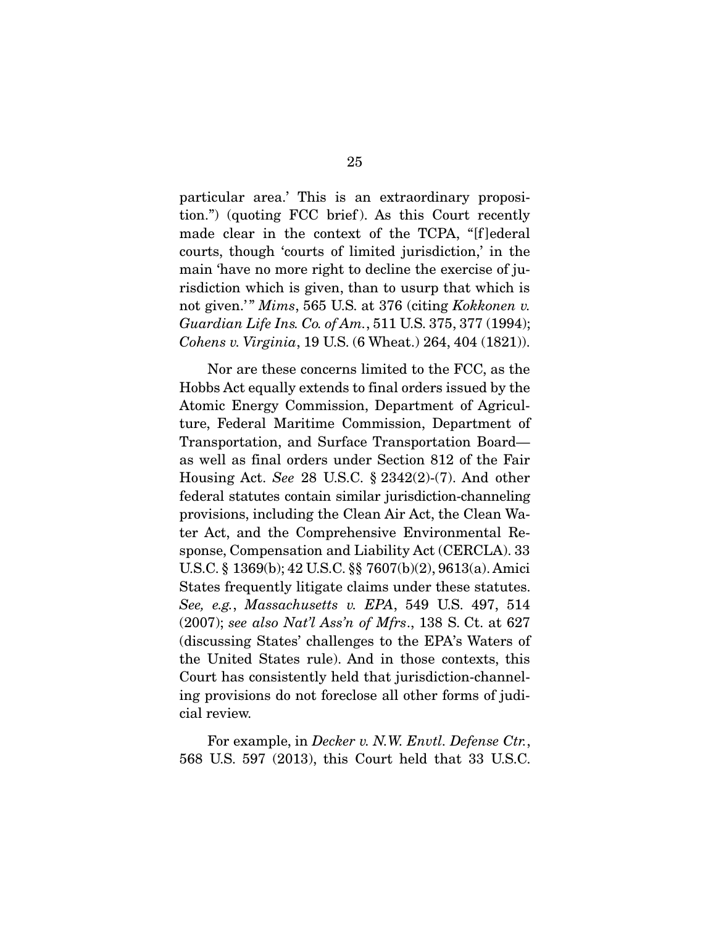particular area.' This is an extraordinary proposition.") (quoting FCC brief ). As this Court recently made clear in the context of the TCPA, "[f]ederal courts, though 'courts of limited jurisdiction,' in the main 'have no more right to decline the exercise of jurisdiction which is given, than to usurp that which is not given.'" *Mims*, 565 U.S. at 376 (citing *Kokkonen v. Guardian Life Ins. Co. of Am.*, 511 U.S. 375, 377 (1994); *Cohens v. Virginia*, 19 U.S. (6 Wheat.) 264, 404 (1821)).

 Nor are these concerns limited to the FCC, as the Hobbs Act equally extends to final orders issued by the Atomic Energy Commission, Department of Agriculture, Federal Maritime Commission, Department of Transportation, and Surface Transportation Board as well as final orders under Section 812 of the Fair Housing Act. *See* 28 U.S.C. § 2342(2)-(7). And other federal statutes contain similar jurisdiction-channeling provisions, including the Clean Air Act, the Clean Water Act, and the Comprehensive Environmental Response, Compensation and Liability Act (CERCLA). 33 U.S.C. § 1369(b); 42 U.S.C. §§ 7607(b)(2), 9613(a). Amici States frequently litigate claims under these statutes. *See, e.g.*, *Massachusetts v. EPA*, 549 U.S. 497, 514 (2007); *see also Nat'l Ass'n of Mfrs*., 138 S. Ct. at 627 (discussing States' challenges to the EPA's Waters of the United States rule). And in those contexts, this Court has consistently held that jurisdiction-channeling provisions do not foreclose all other forms of judicial review.

 For example, in *Decker v. N.W. Envtl. Defense Ctr.*, 568 U.S. 597 (2013), this Court held that 33 U.S.C.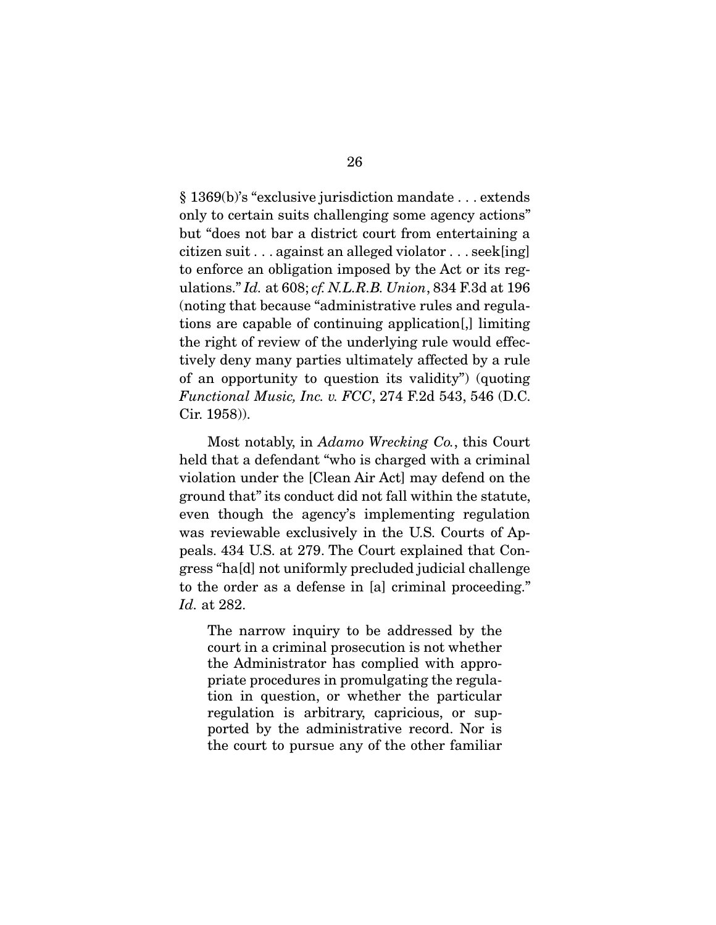§ 1369(b)'s "exclusive jurisdiction mandate . . . extends only to certain suits challenging some agency actions" but "does not bar a district court from entertaining a citizen suit . . . against an alleged violator . . . seek[ing] to enforce an obligation imposed by the Act or its regulations." *Id.* at 608; *cf. N.L.R.B. Union*, 834 F.3d at 196 (noting that because "administrative rules and regulations are capable of continuing application[,] limiting the right of review of the underlying rule would effectively deny many parties ultimately affected by a rule of an opportunity to question its validity") (quoting *Functional Music, Inc. v. FCC*, 274 F.2d 543, 546 (D.C. Cir. 1958)).

 Most notably, in *Adamo Wrecking Co.*, this Court held that a defendant "who is charged with a criminal violation under the [Clean Air Act] may defend on the ground that" its conduct did not fall within the statute, even though the agency's implementing regulation was reviewable exclusively in the U.S. Courts of Appeals. 434 U.S. at 279. The Court explained that Congress "ha[d] not uniformly precluded judicial challenge to the order as a defense in [a] criminal proceeding." *Id.* at 282.

The narrow inquiry to be addressed by the court in a criminal prosecution is not whether the Administrator has complied with appropriate procedures in promulgating the regulation in question, or whether the particular regulation is arbitrary, capricious, or supported by the administrative record. Nor is the court to pursue any of the other familiar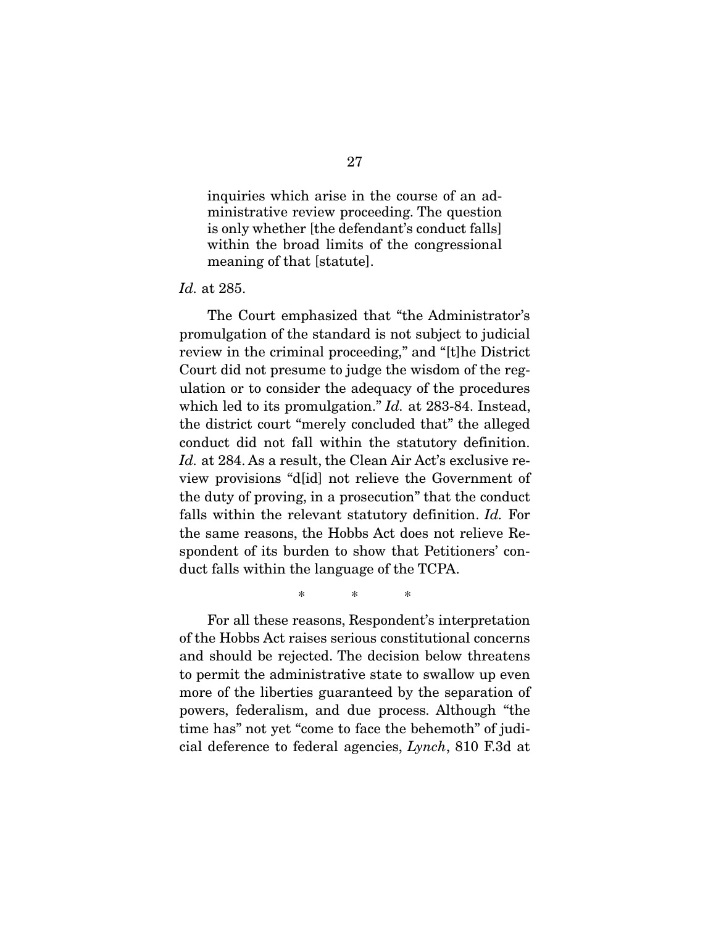inquiries which arise in the course of an administrative review proceeding. The question is only whether [the defendant's conduct falls] within the broad limits of the congressional meaning of that [statute].

#### *Id.* at 285.

 The Court emphasized that "the Administrator's promulgation of the standard is not subject to judicial review in the criminal proceeding," and "[t]he District Court did not presume to judge the wisdom of the regulation or to consider the adequacy of the procedures which led to its promulgation." *Id.* at 283-84. Instead, the district court "merely concluded that" the alleged conduct did not fall within the statutory definition. *Id.* at 284. As a result, the Clean Air Act's exclusive review provisions "d[id] not relieve the Government of the duty of proving, in a prosecution" that the conduct falls within the relevant statutory definition. *Id.* For the same reasons, the Hobbs Act does not relieve Respondent of its burden to show that Petitioners' conduct falls within the language of the TCPA.

\* \* \*

 For all these reasons, Respondent's interpretation of the Hobbs Act raises serious constitutional concerns and should be rejected. The decision below threatens to permit the administrative state to swallow up even more of the liberties guaranteed by the separation of powers, federalism, and due process. Although "the time has" not yet "come to face the behemoth" of judicial deference to federal agencies, *Lynch*, 810 F.3d at